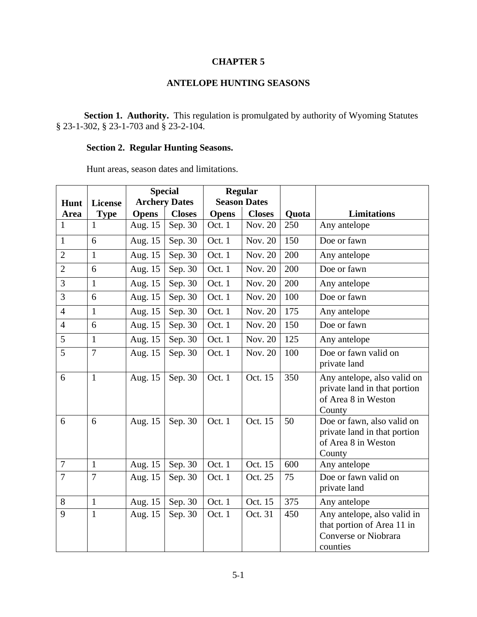### **CHAPTER 5**

# **ANTELOPE HUNTING SEASONS**

Section 1. Authority. This regulation is promulgated by authority of Wyoming Statutes § 23-1-302, § 23-1-703 and § 23-2-104.

# **Section 2. Regular Hunting Seasons.**

Hunt areas, season dates and limitations.

|                |                |              | <b>Special</b>       | <b>Regular</b> |                     |              |                                                                                                      |
|----------------|----------------|--------------|----------------------|----------------|---------------------|--------------|------------------------------------------------------------------------------------------------------|
| Hunt           | <b>License</b> |              | <b>Archery Dates</b> |                | <b>Season Dates</b> |              |                                                                                                      |
| Area           | <b>Type</b>    | <b>Opens</b> | <b>Closes</b>        | <b>Opens</b>   | <b>Closes</b>       | <b>Quota</b> | <b>Limitations</b>                                                                                   |
| $\mathbf{1}$   | 1              | Aug. 15      | Sep. 30              | Oct. 1         | Nov. 20             | 250          | Any antelope                                                                                         |
| $\mathbf{1}$   | 6              | Aug. 15      | Sep. 30              | Oct. 1         | Nov. 20             | 150          | Doe or fawn                                                                                          |
| $\overline{2}$ | $\mathbf{1}$   | Aug. 15      | Sep. 30              | Oct. 1         | Nov. 20             | 200          | Any antelope                                                                                         |
| $\overline{2}$ | 6              | Aug. 15      | Sep. 30              | Oct. 1         | Nov. 20             | 200          | Doe or fawn                                                                                          |
| 3              | $\mathbf{1}$   | Aug. 15      | Sep. 30              | Oct. 1         | Nov. 20             | 200          | Any antelope                                                                                         |
| 3              | 6              | Aug. 15      | Sep. 30              | Oct. 1         | Nov. 20             | 100          | Doe or fawn                                                                                          |
| $\overline{4}$ | $\mathbf{1}$   | Aug. 15      | Sep. 30              | Oct. 1         | Nov. 20             | 175          | Any antelope                                                                                         |
| $\overline{4}$ | 6              | Aug. 15      | Sep. 30              | Oct. 1         | Nov. 20             | 150          | Doe or fawn                                                                                          |
| 5              | $\mathbf{1}$   | Aug. 15      | Sep. 30              | Oct. 1         | Nov. 20             | 125          | Any antelope                                                                                         |
| 5              | $\overline{7}$ | Aug. 15      | Sep. 30              | Oct. 1         | Nov. 20             | 100          | Doe or fawn valid on<br>private land                                                                 |
| 6              | $\mathbf{1}$   | Aug. 15      | Sep. 30              | Oct. 1         | Oct. 15             | 350          | Any antelope, also valid on<br>private land in that portion<br>of Area 8 in Weston<br>County         |
| 6              | 6              | Aug. 15      | Sep. 30              | Oct. 1         | Oct. 15             | 50           | Doe or fawn, also valid on<br>private land in that portion<br>of Area 8 in Weston<br>County          |
| $\overline{7}$ | $\mathbf{1}$   | Aug. 15      | Sep. 30              | Oct. 1         | Oct. 15             | 600          | Any antelope                                                                                         |
| $\overline{7}$ | $\overline{7}$ | Aug. 15      | Sep. 30              | Oct. 1         | Oct. 25             | 75           | Doe or fawn valid on<br>private land                                                                 |
| 8              | $\mathbf{1}$   | Aug. 15      | Sep. 30              | Oct. 1         | Oct. 15             | 375          | Any antelope                                                                                         |
| 9              | $\mathbf{1}$   | Aug. 15      | Sep. 30              | Oct. 1         | Oct. 31             | 450          | Any antelope, also valid in<br>that portion of Area 11 in<br><b>Converse or Niobrara</b><br>counties |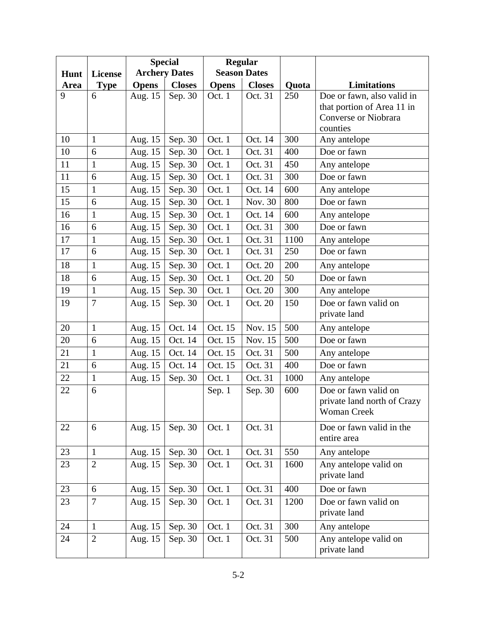|      |                |              | <b>Special</b>       | <b>Regular</b> |                     |       |                             |
|------|----------------|--------------|----------------------|----------------|---------------------|-------|-----------------------------|
| Hunt | <b>License</b> |              | <b>Archery Dates</b> |                | <b>Season Dates</b> |       |                             |
| Area | <b>Type</b>    | <b>Opens</b> | <b>Closes</b>        | <b>Opens</b>   | <b>Closes</b>       | Quota | <b>Limitations</b>          |
| 9    | 6              | Aug. 15      | Sep. 30              | Oct. 1         | Oct. 31             | 250   | Doe or fawn, also valid in  |
|      |                |              |                      |                |                     |       | that portion of Area 11 in  |
|      |                |              |                      |                |                     |       | Converse or Niobrara        |
|      |                |              |                      |                |                     |       | counties                    |
| 10   | $\mathbf{1}$   | Aug. 15      | Sep. 30              | Oct. 1         | Oct. 14             | 300   | Any antelope                |
| 10   | 6              | Aug. 15      | Sep. 30              | Oct. 1         | Oct. 31             | 400   | Doe or fawn                 |
| 11   | $\mathbf{1}$   | Aug. 15      | Sep. 30              | Oct. 1         | Oct. 31             | 450   | Any antelope                |
| 11   | 6              | Aug. 15      | Sep. 30              | Oct. 1         | Oct. 31             | 300   | Doe or fawn                 |
| 15   | $\mathbf{1}$   | Aug. 15      | Sep. 30              | Oct. 1         | Oct. 14             | 600   | Any antelope                |
| 15   | 6              | Aug. 15      | Sep. 30              | Oct. 1         | Nov. 30             | 800   | Doe or fawn                 |
| 16   | $\mathbf{1}$   | Aug. 15      | Sep. 30              | Oct. 1         | Oct. 14             | 600   | Any antelope                |
| 16   | 6              | Aug. 15      | Sep. 30              | Oct. 1         | Oct. 31             | 300   | Doe or fawn                 |
| 17   | $\mathbf{1}$   | Aug. 15      | Sep. 30              | Oct. 1         | Oct. 31             | 1100  | Any antelope                |
| 17   | 6              | Aug. 15      | Sep. 30              | Oct. 1         | Oct. 31             | 250   | Doe or fawn                 |
| 18   | $\mathbf{1}$   | Aug. 15      | Sep. 30              | Oct. 1         | Oct. 20             | 200   | Any antelope                |
| 18   | 6              | Aug. 15      | Sep. 30              | Oct. 1         | Oct. 20             | 50    | Doe or fawn                 |
| 19   | $\mathbf{1}$   | Aug. 15      | Sep. 30              | Oct. 1         | Oct. 20             | 300   | Any antelope                |
| 19   | $\overline{7}$ | Aug. 15      | Sep. 30              | Oct. 1         | Oct. 20             | 150   | Doe or fawn valid on        |
|      |                |              |                      |                |                     |       | private land                |
| 20   | $\mathbf{1}$   | Aug. 15      | Oct. 14              | Oct. 15        | Nov. 15             | 500   | Any antelope                |
| 20   | 6              | Aug. 15      | Oct. 14              | Oct. 15        | Nov. 15             | 500   | Doe or fawn                 |
| 21   | $\mathbf{1}$   | Aug. 15      | Oct. 14              | Oct. 15        | Oct. 31             | 500   | Any antelope                |
| 21   | 6              | Aug. 15      | Oct. 14              | Oct. 15        | Oct. 31             | 400   | Doe or fawn                 |
| 22   | $\mathbf{1}$   | Aug. 15      | Sep. 30              | Oct. 1         | Oct. 31             | 1000  | Any antelope                |
| 22   | 6              |              |                      | Sep. 1         | Sep. 30             | 600   | Doe or fawn valid on        |
|      |                |              |                      |                |                     |       | private land north of Crazy |
|      |                |              |                      |                |                     |       | <b>Woman Creek</b>          |
| 22   | 6              | Aug. 15      | Sep. 30              | Oct. 1         | Oct. 31             |       | Doe or fawn valid in the    |
|      |                |              |                      |                |                     |       | entire area                 |
| 23   | $\mathbf{1}$   | Aug. 15      | Sep. 30              | Oct. 1         | Oct. 31             | 550   | Any antelope                |
| 23   | $\overline{2}$ | Aug. 15      | Sep. 30              | Oct. 1         | Oct. 31             | 1600  | Any antelope valid on       |
|      |                |              |                      |                |                     |       | private land                |
| 23   | 6              | Aug. 15      | Sep. 30              | Oct. 1         | Oct. 31             | 400   | Doe or fawn                 |
| 23   | $\overline{7}$ | Aug. 15      | Sep. 30              | Oct. 1         | Oct. 31             | 1200  | Doe or fawn valid on        |
|      |                |              |                      |                |                     |       | private land                |
| 24   | $\mathbf{1}$   | Aug. 15      | Sep. 30              | Oct. 1         | Oct. 31             | 300   | Any antelope                |
| 24   | $\overline{2}$ | Aug. 15      | Sep. 30              | Oct. 1         | Oct. 31             | 500   | Any antelope valid on       |
|      |                |              |                      |                |                     |       | private land                |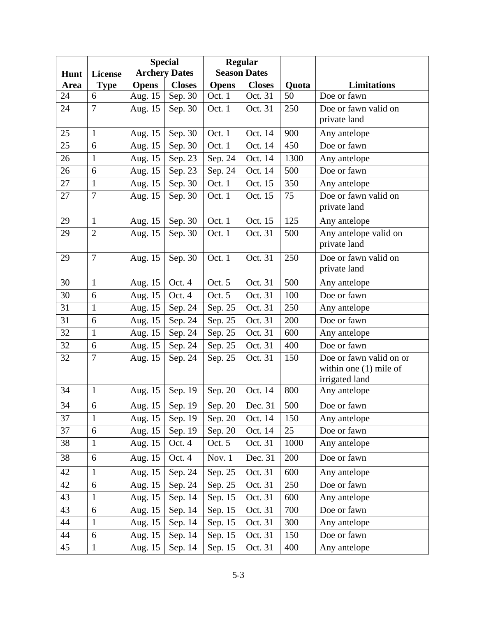|      |                |              | <b>Special</b>       | <b>Regular</b>              |                     |       |                                |
|------|----------------|--------------|----------------------|-----------------------------|---------------------|-------|--------------------------------|
| Hunt | <b>License</b> |              | <b>Archery Dates</b> |                             | <b>Season Dates</b> |       |                                |
| Area | <b>Type</b>    | <b>Opens</b> | <b>Closes</b>        | <b>Opens</b>                | <b>Closes</b>       | Quota | <b>Limitations</b>             |
| 24   | 6              | Aug. 15      | Sep. 30              | Oct. 1                      | Oct. 31             | 50    | Doe or fawn                    |
| 24   | $\overline{7}$ | Aug. 15      | Sep. 30              | Oct. 1                      | Oct. 31             | 250   | Doe or fawn valid on           |
|      |                |              |                      |                             |                     |       | private land                   |
| 25   | $\mathbf{1}$   | Aug. 15      | Sep. 30              | Oct. 1                      | Oct. 14             | 900   | Any antelope                   |
| 25   | 6              | Aug. 15      | Sep. 30              | Oct. 1                      | Oct. 14             | 450   | Doe or fawn                    |
| 26   | $\mathbf{1}$   | Aug. 15      | Sep. 23              | Sep. 24                     | Oct. 14             | 1300  | Any antelope                   |
| 26   | 6              | Aug. 15      | Sep. 23              | Sep. 24                     | Oct. 14             | 500   | Doe or fawn                    |
| 27   | $\mathbf{1}$   | Aug. 15      | Sep. 30              | Oct. 1                      | Oct. 15             | 350   | Any antelope                   |
| 27   | $\overline{7}$ | Aug. 15      | Sep. 30              | Oct. 1                      | Oct. 15             | 75    | Doe or fawn valid on           |
|      |                |              |                      |                             |                     |       | private land                   |
| 29   | $\mathbf{1}$   | Aug. 15      | Sep. 30              | Oct. 1                      | Oct. 15             | 125   | Any antelope                   |
| 29   | $\overline{2}$ | Aug. 15      | Sep. 30              | Oct. 1                      | Oct. 31             | 500   | Any antelope valid on          |
|      |                |              |                      |                             |                     |       | private land                   |
| 29   | $\overline{7}$ | Aug. 15      | Sep. 30              | Oct. 1                      | Oct. 31             | 250   | Doe or fawn valid on           |
|      |                |              |                      |                             |                     |       | private land                   |
| 30   | $\mathbf{1}$   | Aug. 15      | Oct. 4               | Oct. 5                      | Oct. 31             | 500   | Any antelope                   |
| 30   | 6              | Aug. 15      | Oct. 4               | Oct. 5                      | Oct. 31             | 100   | Doe or fawn                    |
| 31   | $\mathbf{1}$   | Aug. 15      | Sep. 24              | Sep. 25                     | Oct. 31             | 250   | Any antelope                   |
| 31   | 6              | Aug. 15      | Sep. 24              | Sep. 25                     | Oct. 31             | 200   | Doe or fawn                    |
| 32   | $\mathbf{1}$   | Aug. 15      | Sep. 24              | Sep. 25                     | Oct. 31             | 600   | Any antelope                   |
| 32   | 6              | Aug. 15      | Sep. 24              | Sep. 25                     | Oct. 31             | 400   | Doe or fawn                    |
| 32   | $\overline{7}$ | Aug. 15      | Sep. 24              | Sep. 25                     | Oct. 31             | 150   | Doe or fawn valid on or        |
|      |                |              |                      |                             |                     |       | within one $(1)$ mile of       |
| 34   | $\mathbf{1}$   | Aug. 15      | Sep. 19              | Sep. 20                     | Oct. 14             | 800   | irrigated land<br>Any antelope |
|      |                |              |                      |                             |                     |       |                                |
| 34   | 6              | Aug. $15$    |                      | Sep. 19   Sep. 20   Dec. 31 |                     | 500   | Doe or fawn                    |
| 37   | $\mathbf{1}$   | Aug. 15      | Sep. 19              | Sep. 20                     | Oct. 14             | 150   | Any antelope                   |
| 37   | $6\,$          | Aug. 15      | Sep. 19              | Sep. 20                     | Oct. 14             | 25    | Doe or fawn                    |
| 38   | $\mathbf{1}$   | Aug. 15      | Oct. 4               | Oct. 5                      | Oct. 31             | 1000  | Any antelope                   |
| 38   | 6              | Aug. 15      | Oct. 4               | Nov. 1                      | Dec. 31             | 200   | Doe or fawn                    |
| 42   | $\mathbf{1}$   | Aug. 15      | Sep. 24              | Sep. 25                     | Oct. 31             | 600   | Any antelope                   |
| 42   | 6              | Aug. 15      | Sep. 24              | Sep. 25                     | Oct. 31             | 250   | Doe or fawn                    |
| 43   | $\mathbf{1}$   | Aug. 15      | Sep. 14              | Sep. 15                     | Oct. 31             | 600   | Any antelope                   |
| 43   | 6              | Aug. 15      | Sep. 14              | Sep. 15                     | Oct. 31             | 700   | Doe or fawn                    |
| 44   | $\mathbf{1}$   | Aug. 15      | Sep. 14              | Sep. 15                     | Oct. 31             | 300   | Any antelope                   |
| 44   | 6              | Aug. 15      | Sep. 14              | Sep. 15                     | Oct. 31             | 150   | Doe or fawn                    |
| 45   | $\mathbf{1}$   | Aug. 15      | Sep. 14              | Sep. 15                     | Oct. 31             | 400   | Any antelope                   |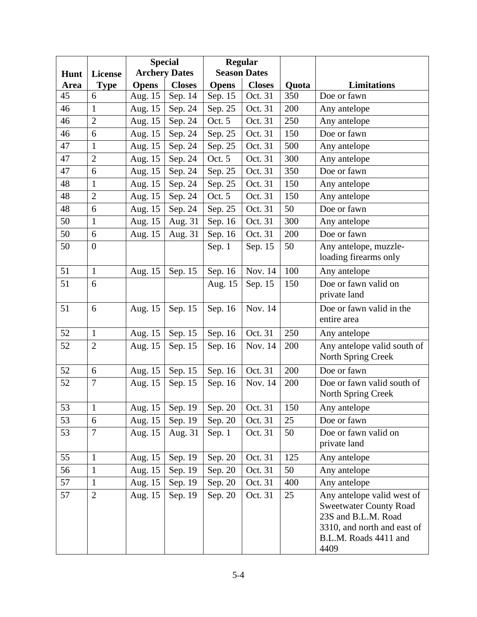|      |                |              | <b>Special</b>       | <b>Regular</b> |                     |       |                                                                                                                                                    |
|------|----------------|--------------|----------------------|----------------|---------------------|-------|----------------------------------------------------------------------------------------------------------------------------------------------------|
| Hunt | <b>License</b> |              | <b>Archery Dates</b> |                | <b>Season Dates</b> |       |                                                                                                                                                    |
| Area | <b>Type</b>    | <b>Opens</b> | <b>Closes</b>        | <b>Opens</b>   | <b>Closes</b>       | Quota | <b>Limitations</b>                                                                                                                                 |
| 45   | 6              | Aug. 15      | Sep. 14              | Sep. 15        | Oct. 31             | 350   | Doe or fawn                                                                                                                                        |
| 46   | $\mathbf{1}$   | Aug. 15      | Sep. 24              | Sep. 25        | Oct. 31             | 200   | Any antelope                                                                                                                                       |
| 46   | $\overline{2}$ | Aug. 15      | Sep. 24              | Oct. 5         | Oct. 31             | 250   | Any antelope                                                                                                                                       |
| 46   | 6              | Aug. 15      | Sep. 24              | Sep. 25        | Oct. 31             | 150   | Doe or fawn                                                                                                                                        |
| 47   | $\mathbf{1}$   | Aug. 15      | Sep. 24              | Sep. 25        | Oct. 31             | 500   | Any antelope                                                                                                                                       |
| 47   | $\overline{2}$ | Aug. 15      | Sep. 24              | Oct. 5         | Oct. 31             | 300   | Any antelope                                                                                                                                       |
| 47   | 6              | Aug. 15      | Sep. 24              | Sep. 25        | Oct. 31             | 350   | Doe or fawn                                                                                                                                        |
| 48   | $\mathbf{1}$   | Aug. 15      | Sep. 24              | Sep. 25        | Oct. 31             | 150   | Any antelope                                                                                                                                       |
| 48   | $\overline{2}$ | Aug. 15      | Sep. 24              | Oct. 5         | Oct. 31             | 150   | Any antelope                                                                                                                                       |
| 48   | 6              | Aug. 15      | Sep. 24              | Sep. 25        | Oct. 31             | 50    | Doe or fawn                                                                                                                                        |
| 50   | $\mathbf{1}$   | Aug. 15      | Aug. 31              | Sep. 16        | Oct. 31             | 300   | Any antelope                                                                                                                                       |
| 50   | 6              | Aug. 15      | Aug. 31              | Sep. 16        | Oct. 31             | 200   | Doe or fawn                                                                                                                                        |
| 50   | $\overline{0}$ |              |                      | Sep. 1         | Sep. 15             | 50    | Any antelope, muzzle-                                                                                                                              |
|      |                |              |                      |                |                     |       | loading firearms only                                                                                                                              |
| 51   | $\mathbf{1}$   | Aug. 15      | Sep. 15              | Sep. 16        | Nov. 14             | 100   | Any antelope                                                                                                                                       |
| 51   | 6              |              |                      | Aug. 15        | Sep. 15             | 150   | Doe or fawn valid on<br>private land                                                                                                               |
| 51   | 6              | Aug. 15      | Sep. 15              | Sep. 16        | Nov. 14             |       | Doe or fawn valid in the<br>entire area                                                                                                            |
| 52   | $\mathbf{1}$   | Aug. 15      | Sep. 15              | Sep. 16        | Oct. 31             | 250   | Any antelope                                                                                                                                       |
| 52   | $\overline{2}$ | Aug. 15      | Sep. 15              | Sep. 16        | Nov. 14             | 200   | Any antelope valid south of<br>North Spring Creek                                                                                                  |
| 52   | 6              | Aug. 15      | Sep. 15              | Sep. 16        | Oct. 31             | 200   | Doe or fawn                                                                                                                                        |
| 52   | $\overline{7}$ | Aug. 15      | Sep. 15              | Sep. 16        | Nov. 14             | 200   | Doe or fawn valid south of<br>North Spring Creek                                                                                                   |
| 53   | 1              | Aug. 15      | Sep. 19              | Sep. 20        | Oct. 31             | 150   | Any antelope                                                                                                                                       |
| 53   | 6              | Aug. 15      | Sep. 19              | Sep. 20        | Oct. 31             | 25    | Doe or fawn                                                                                                                                        |
| 53   | $\overline{7}$ | Aug. 15      | Aug. 31              | Sep. 1         | Oct. 31             | 50    | Doe or fawn valid on<br>private land                                                                                                               |
| 55   | $\mathbf{1}$   | Aug. 15      | Sep. 19              | Sep. 20        | Oct. 31             | 125   | Any antelope                                                                                                                                       |
| 56   | $\mathbf{1}$   | Aug. 15      | Sep. 19              | Sep. 20        | Oct. 31             | 50    | Any antelope                                                                                                                                       |
| 57   | $\mathbf{1}$   | Aug. 15      | Sep. 19              | Sep. 20        | Oct. 31             | 400   | Any antelope                                                                                                                                       |
| 57   | $\mathbf{2}$   | Aug. 15      | Sep. 19              | Sep. 20        | Oct. 31             | 25    | Any antelope valid west of<br><b>Sweetwater County Road</b><br>23S and B.L.M. Road<br>3310, and north and east of<br>B.L.M. Roads 4411 and<br>4409 |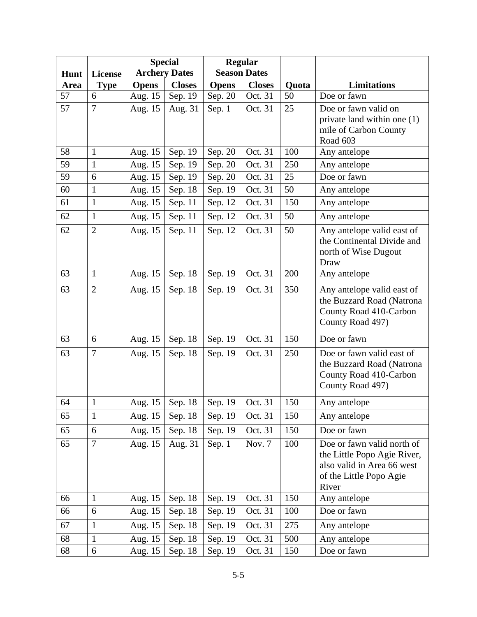|      |                |              | <b>Special</b>       | <b>Regular</b> |                     |       |                                                       |
|------|----------------|--------------|----------------------|----------------|---------------------|-------|-------------------------------------------------------|
| Hunt | <b>License</b> |              | <b>Archery Dates</b> |                | <b>Season Dates</b> |       |                                                       |
| Area | <b>Type</b>    | <b>Opens</b> | <b>Closes</b>        | <b>Opens</b>   | <b>Closes</b>       | Quota | Limitations                                           |
| 57   | 6              | Aug. 15      | Sep. 19              | Sep. 20        | Oct. 31             | 50    | Doe or fawn                                           |
| 57   | $\overline{7}$ | Aug. 15      | Aug. 31              | Sep. 1         | Oct. 31             | 25    | Doe or fawn valid on                                  |
|      |                |              |                      |                |                     |       | private land within one (1)                           |
|      |                |              |                      |                |                     |       | mile of Carbon County<br>Road 603                     |
| 58   | $\mathbf{1}$   | Aug. 15      | Sep. 19              | Sep. 20        | Oct. 31             | 100   | Any antelope                                          |
| 59   | $\mathbf{1}$   | Aug. 15      | Sep. 19              | Sep. 20        | Oct. 31             | 250   | Any antelope                                          |
| 59   | 6              | Aug. 15      | Sep. 19              | Sep. 20        | Oct. 31             | 25    | Doe or fawn                                           |
| 60   | $\mathbf{1}$   | Aug. 15      | Sep. 18              | Sep. 19        | Oct. 31             | 50    | Any antelope                                          |
| 61   | $\mathbf{1}$   | Aug. 15      | Sep. 11              | Sep. 12        | Oct. 31             | 150   | Any antelope                                          |
| 62   | $\mathbf{1}$   | Aug. 15      | Sep. 11              | Sep. 12        | Oct. 31             | 50    | Any antelope                                          |
| 62   | $\overline{2}$ | Aug. 15      | Sep. 11              | Sep. 12        | Oct. 31             | 50    | Any antelope valid east of                            |
|      |                |              |                      |                |                     |       | the Continental Divide and                            |
|      |                |              |                      |                |                     |       | north of Wise Dugout                                  |
| 63   | $\mathbf{1}$   |              |                      |                | Oct. 31             | 200   | Draw                                                  |
|      |                | Aug. 15      | Sep. 18              | Sep. 19        |                     |       | Any antelope                                          |
| 63   | $\overline{2}$ | Aug. 15      | Sep. 18              | Sep. 19        | Oct. 31             | 350   | Any antelope valid east of                            |
|      |                |              |                      |                |                     |       | the Buzzard Road (Natrona<br>County Road 410-Carbon   |
|      |                |              |                      |                |                     |       | County Road 497)                                      |
| 63   | 6              | Aug. 15      | Sep. 18              | Sep. 19        | Oct. 31             | 150   | Doe or fawn                                           |
| 63   | $\overline{7}$ | Aug. 15      | Sep. 18              | Sep. 19        | Oct. 31             | 250   | Doe or fawn valid east of                             |
|      |                |              |                      |                |                     |       | the Buzzard Road (Natrona                             |
|      |                |              |                      |                |                     |       | County Road 410-Carbon                                |
|      |                |              |                      |                |                     |       | County Road 497)                                      |
| 64   |                | Aug. 15      | Sep. 18              | Sep. 19        | Oct. 31             | 150   | Any antelope                                          |
| 65   | $\mathbf{1}$   | Aug. 15      | Sep. 18              | Sep. 19        | Oct. 31             | 150   | Any antelope                                          |
| 65   | 6              | Aug. 15      | Sep. 18              | Sep. 19        | Oct. 31             | 150   | Doe or fawn                                           |
| 65   | $\overline{7}$ | Aug. 15      | Aug. 31              | Sep. 1         | Nov. 7              | 100   | Doe or fawn valid north of                            |
|      |                |              |                      |                |                     |       | the Little Popo Agie River,                           |
|      |                |              |                      |                |                     |       | also valid in Area 66 west<br>of the Little Popo Agie |
|      |                |              |                      |                |                     |       | River                                                 |
| 66   | $\mathbf{1}$   | Aug. 15      | Sep. 18              | Sep. 19        | Oct. 31             | 150   | Any antelope                                          |
| 66   | 6              | Aug. 15      | Sep. 18              | Sep. 19        | Oct. 31             | 100   | Doe or fawn                                           |
| 67   | $\mathbf{1}$   | Aug. 15      | Sep. 18              | Sep. 19        | Oct. 31             | 275   | Any antelope                                          |
| 68   | 1              | Aug. 15      | Sep. 18              | Sep. 19        | Oct. 31             | 500   | Any antelope                                          |
| 68   | 6              | Aug. 15      | Sep. 18              | Sep. 19        | Oct. 31             | 150   | Doe or fawn                                           |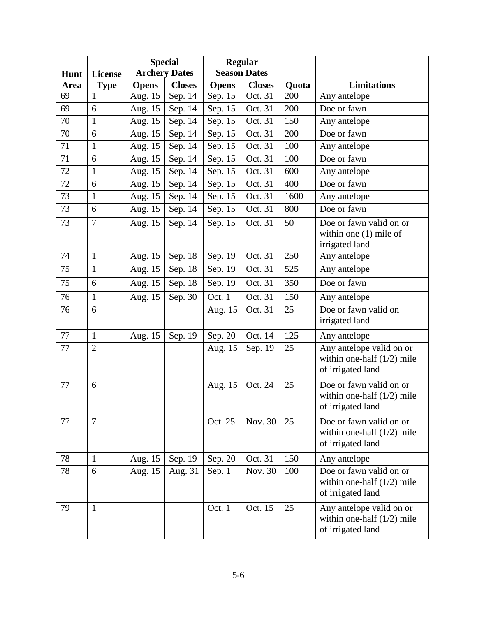|      |                |              | <b>Special</b>       | <b>Regular</b> |                     |       |                                                                               |
|------|----------------|--------------|----------------------|----------------|---------------------|-------|-------------------------------------------------------------------------------|
| Hunt | <b>License</b> |              | <b>Archery Dates</b> |                | <b>Season Dates</b> |       |                                                                               |
| Area | <b>Type</b>    | <b>Opens</b> | <b>Closes</b>        | <b>Opens</b>   | <b>Closes</b>       | Quota | <b>Limitations</b>                                                            |
| 69   | 1              | Aug. 15      | Sep. 14              | Sep. 15        | Oct. 31             | 200   | Any antelope                                                                  |
| 69   | 6              | Aug. 15      | Sep. 14              | Sep. 15        | Oct. 31             | 200   | Doe or fawn                                                                   |
| 70   | $\mathbf{1}$   | Aug. 15      | Sep. 14              | Sep. 15        | Oct. 31             | 150   | Any antelope                                                                  |
| 70   | 6              | Aug. 15      | Sep. 14              | Sep. 15        | Oct. 31             | 200   | Doe or fawn                                                                   |
| 71   | $\mathbf{1}$   | Aug. 15      | Sep. 14              | Sep. 15        | Oct. 31             | 100   | Any antelope                                                                  |
| 71   | 6              | Aug. 15      | Sep. 14              | Sep. 15        | Oct. 31             | 100   | Doe or fawn                                                                   |
| 72   | $\mathbf{1}$   | Aug. 15      | Sep. 14              | Sep. 15        | Oct. 31             | 600   | Any antelope                                                                  |
| 72   | 6              | Aug. 15      | Sep. 14              | Sep. 15        | Oct. 31             | 400   | Doe or fawn                                                                   |
| 73   | $\mathbf{1}$   | Aug. 15      | Sep. 14              | Sep. 15        | Oct. 31             | 1600  | Any antelope                                                                  |
| 73   | 6              | Aug. 15      | Sep. 14              | Sep. 15        | Oct. 31             | 800   | Doe or fawn                                                                   |
| 73   | $\overline{7}$ | Aug. 15      | Sep. 14              | Sep. 15        | Oct. 31             | 50    | Doe or fawn valid on or<br>within one $(1)$ mile of<br>irrigated land         |
| 74   | $\mathbf{1}$   | Aug. 15      | Sep. 18              | Sep. 19        | Oct. 31             | 250   | Any antelope                                                                  |
| 75   | $\mathbf{1}$   | Aug. 15      | Sep. 18              | Sep. 19        | Oct. 31             | 525   | Any antelope                                                                  |
| 75   | 6              | Aug. 15      | Sep. 18              | Sep. 19        | Oct. 31             | 350   | Doe or fawn                                                                   |
| 76   | $\mathbf{1}$   | Aug. 15      | Sep. 30              | Oct. 1         | Oct. 31             | 150   | Any antelope                                                                  |
| 76   | 6              |              |                      | Aug. 15        | Oct. 31             | 25    | Doe or fawn valid on<br>irrigated land                                        |
| 77   | $\mathbf{1}$   | Aug. 15      | Sep. 19              | Sep. 20        | Oct. 14             | 125   | Any antelope                                                                  |
| 77   | $\overline{2}$ |              |                      | Aug. 15        | Sep. 19             | 25    | Any antelope valid on or<br>within one-half $(1/2)$ mile<br>of irrigated land |
| 77   | 6              |              |                      | Aug. 15        | Oct. 24             | 25    | Doe or fawn valid on or<br>within one-half $(1/2)$ mile<br>of irrigated land  |
| 77   | $\overline{7}$ |              |                      | Oct. 25        | Nov. 30             | 25    | Doe or fawn valid on or<br>within one-half $(1/2)$ mile<br>of irrigated land  |
| 78   | $\mathbf{1}$   | Aug. 15      | Sep. 19              | Sep. 20        | Oct. 31             | 150   | Any antelope                                                                  |
| 78   | 6              | Aug. 15      | Aug. 31              | Sep. 1         | Nov. 30             | 100   | Doe or fawn valid on or<br>within one-half $(1/2)$ mile<br>of irrigated land  |
| 79   | $\mathbf{1}$   |              |                      | Oct. 1         | Oct. 15             | 25    | Any antelope valid on or<br>within one-half $(1/2)$ mile<br>of irrigated land |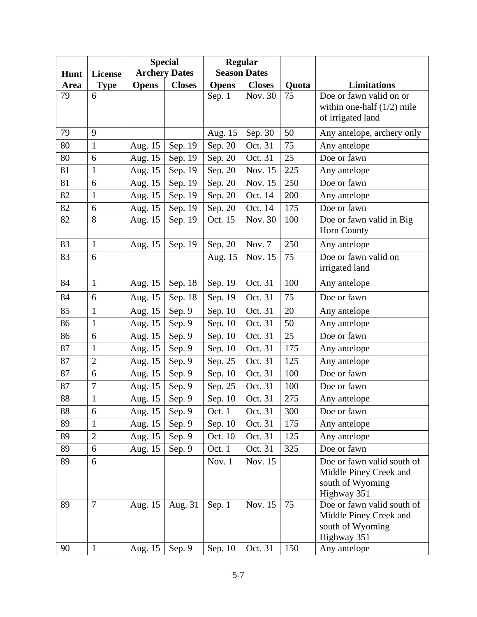|      |                |              | <b>Special</b>       |              | <b>Regular</b>      |       |                                            |
|------|----------------|--------------|----------------------|--------------|---------------------|-------|--------------------------------------------|
| Hunt | <b>License</b> |              | <b>Archery Dates</b> |              | <b>Season Dates</b> |       |                                            |
| Area | <b>Type</b>    | <b>Opens</b> | <b>Closes</b>        | <b>Opens</b> | <b>Closes</b>       | Quota | Limitations                                |
| 79   | 6              |              |                      | Sep. 1       | Nov. 30             | 75    | Doe or fawn valid on or                    |
|      |                |              |                      |              |                     |       | within one-half $(1/2)$ mile               |
|      |                |              |                      |              |                     |       | of irrigated land                          |
| 79   | 9              |              |                      | Aug. 15      | Sep. 30             | 50    | Any antelope, archery only                 |
| 80   | $\mathbf{1}$   | Aug. 15      | Sep. 19              | Sep. 20      | Oct. 31             | 75    | Any antelope                               |
| 80   | 6              | Aug. 15      | Sep. 19              | Sep. 20      | Oct. 31             | 25    | Doe or fawn                                |
| 81   | $\mathbf{1}$   | Aug. 15      | Sep. 19              | Sep. 20      | Nov. 15             | 225   | Any antelope                               |
| 81   | 6              | Aug. 15      | Sep. 19              | Sep. 20      | Nov. 15             | 250   | Doe or fawn                                |
| 82   | $\mathbf{1}$   | Aug. 15      | Sep. 19              | Sep. 20      | Oct. 14             | 200   | Any antelope                               |
| 82   | 6              | Aug. 15      | Sep. 19              | Sep. 20      | Oct. 14             | 175   | Doe or fawn                                |
| 82   | 8              | Aug. 15      | Sep. 19              | Oct. 15      | Nov. 30             | 100   | Doe or fawn valid in Big                   |
|      |                |              |                      |              |                     |       | Horn County                                |
| 83   | $\mathbf{1}$   | Aug. 15      | Sep. 19              | Sep. 20      | Nov. 7              | 250   | Any antelope                               |
| 83   | 6              |              |                      | Aug. 15      | Nov. 15             | 75    | Doe or fawn valid on                       |
|      |                |              |                      |              |                     |       | irrigated land                             |
| 84   | $\mathbf{1}$   | Aug. 15      | Sep. 18              | Sep. 19      | Oct. 31             | 100   | Any antelope                               |
| 84   | 6              | Aug. 15      | Sep. 18              | Sep. 19      | Oct. 31             | 75    | Doe or fawn                                |
| 85   | $\mathbf{1}$   | Aug. 15      | Sep. 9               | Sep. 10      | Oct. 31             | 20    | Any antelope                               |
| 86   | $\mathbf{1}$   | Aug. 15      | Sep. 9               | Sep. 10      | Oct. 31             | 50    | Any antelope                               |
| 86   | 6              | Aug. 15      | Sep. 9               | Sep. 10      | Oct. 31             | 25    | Doe or fawn                                |
| 87   | $\mathbf{1}$   | Aug. 15      | Sep. 9               | Sep. 10      | Oct. 31             | 175   | Any antelope                               |
| 87   | $\overline{2}$ | Aug. 15      | Sep. 9               | Sep. 25      | Oct. 31             | 125   | Any antelope                               |
| 87   | 6              | Aug. 15      | Sep. 9               | Sep. 10      | Oct. 31             | 100   | Doe or fawn                                |
| 87   | $\overline{7}$ | Aug. 15      | Sep. 9               | Sep. 25      | Oct. 31             | 100   | Doe or fawn                                |
| 88   | $\mathbf{1}$   | Aug. 15      | Sep. 9               | Sep. 10      | Oct. 31             | 275   | Any antelope                               |
| 88   | 6              | Aug. 15      | Sep. 9               | Oct. 1       | Oct. 31             | 300   | Doe or fawn                                |
| 89   | $\mathbf{1}$   | Aug. 15      | Sep. 9               | Sep. 10      | Oct. 31             | 175   | Any antelope                               |
| 89   | $\overline{2}$ | Aug. 15      | Sep. 9               | Oct. 10      | Oct. 31             | 125   | Any antelope                               |
| 89   | $6\,$          | Aug. 15      | Sep. 9               | Oct. 1       | Oct. 31             | 325   | Doe or fawn                                |
| 89   | 6              |              |                      | Nov. 1       | Nov. 15             |       | Doe or fawn valid south of                 |
|      |                |              |                      |              |                     |       | Middle Piney Creek and                     |
|      |                |              |                      |              |                     |       | south of Wyoming                           |
|      |                |              |                      |              |                     |       | Highway 351                                |
| 89   | $\overline{7}$ | Aug. 15      | Aug. 31              | Sep. 1       | Nov. 15             | 75    | Doe or fawn valid south of                 |
|      |                |              |                      |              |                     |       | Middle Piney Creek and<br>south of Wyoming |
|      |                |              |                      |              |                     |       | Highway 351                                |
| 90   | $\mathbf{1}$   | Aug. 15      | Sep. 9               | Sep. 10      | Oct. 31             | 150   | Any antelope                               |
|      |                |              |                      |              |                     |       |                                            |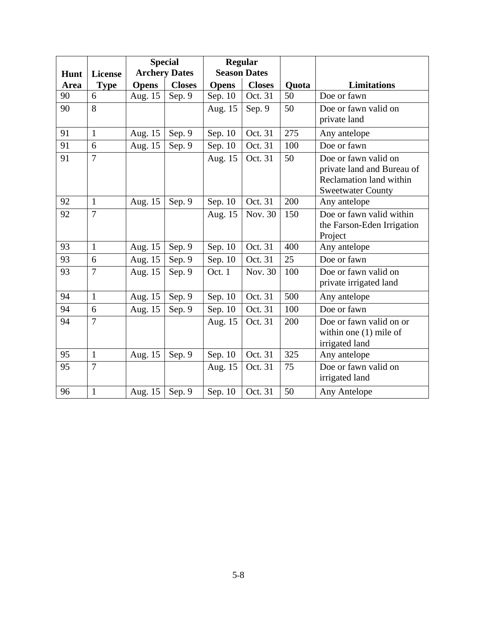|      |                |              | <b>Special</b>       |              | <b>Regular</b>      |       |                                                                                                           |
|------|----------------|--------------|----------------------|--------------|---------------------|-------|-----------------------------------------------------------------------------------------------------------|
| Hunt | <b>License</b> |              | <b>Archery Dates</b> |              | <b>Season Dates</b> |       |                                                                                                           |
| Area | <b>Type</b>    | <b>Opens</b> | <b>Closes</b>        | <b>Opens</b> | <b>Closes</b>       | Quota | <b>Limitations</b>                                                                                        |
| 90   | 6              | Aug. 15      | Sep. 9               | Sep. 10      | Oct. 31             | 50    | Doe or fawn                                                                                               |
| 90   | 8              |              |                      | Aug. 15      | Sep. 9              | 50    | Doe or fawn valid on<br>private land                                                                      |
| 91   | $\mathbf{1}$   | Aug. 15      | Sep. 9               | Sep. 10      | Oct. 31             | 275   | Any antelope                                                                                              |
| 91   | 6              | Aug. 15      | Sep. 9               | Sep. 10      | Oct. 31             | 100   | Doe or fawn                                                                                               |
| 91   | $\overline{7}$ |              |                      | Aug. 15      | Oct. 31             | 50    | Doe or fawn valid on<br>private land and Bureau of<br>Reclamation land within<br><b>Sweetwater County</b> |
| 92   | $\mathbf{1}$   | Aug. 15      | Sep. 9               | Sep. 10      | Oct. 31             | 200   | Any antelope                                                                                              |
| 92   | $\overline{7}$ |              |                      | Aug. 15      | Nov. 30             | 150   | Doe or fawn valid within<br>the Farson-Eden Irrigation<br>Project                                         |
| 93   | $\mathbf{1}$   | Aug. 15      | Sep. 9               | Sep. 10      | Oct. 31             | 400   | Any antelope                                                                                              |
| 93   | 6              | Aug. 15      | Sep. 9               | Sep. 10      | Oct. 31             | 25    | Doe or fawn                                                                                               |
| 93   | $\overline{7}$ | Aug. 15      | Sep. 9               | Oct. 1       | Nov. 30             | 100   | Doe or fawn valid on<br>private irrigated land                                                            |
| 94   | $\mathbf{1}$   | Aug. 15      | Sep. 9               | Sep. 10      | Oct. 31             | 500   | Any antelope                                                                                              |
| 94   | 6              | Aug. 15      | Sep. 9               | Sep. 10      | Oct. 31             | 100   | Doe or fawn                                                                                               |
| 94   | 7              |              |                      | Aug. 15      | Oct. 31             | 200   | Doe or fawn valid on or<br>within one $(1)$ mile of<br>irrigated land                                     |
| 95   | $\mathbf{1}$   | Aug. 15      | Sep. 9               | Sep. 10      | Oct. 31             | 325   | Any antelope                                                                                              |
| 95   | 7              |              |                      | Aug. 15      | Oct. 31             | 75    | Doe or fawn valid on<br>irrigated land                                                                    |
| 96   | $\mathbf{1}$   | Aug. 15      | Sep. 9               | Sep. 10      | Oct. 31             | 50    | Any Antelope                                                                                              |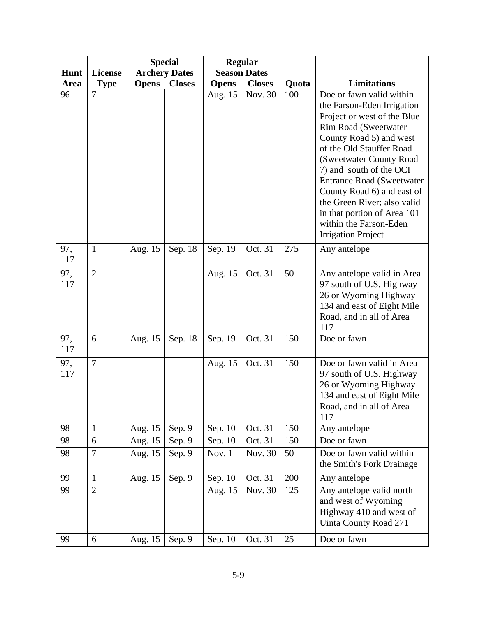|            |                |              | <b>Special</b>       |              | <b>Regular</b>      |       |                                                                                                                                                                                                                                                                                                                                                                                                                   |
|------------|----------------|--------------|----------------------|--------------|---------------------|-------|-------------------------------------------------------------------------------------------------------------------------------------------------------------------------------------------------------------------------------------------------------------------------------------------------------------------------------------------------------------------------------------------------------------------|
| Hunt       | <b>License</b> |              | <b>Archery Dates</b> |              | <b>Season Dates</b> |       |                                                                                                                                                                                                                                                                                                                                                                                                                   |
| Area       | <b>Type</b>    | <b>Opens</b> | <b>Closes</b>        | <b>Opens</b> | <b>Closes</b>       | Quota | Limitations                                                                                                                                                                                                                                                                                                                                                                                                       |
| 96         | $\overline{7}$ |              |                      | Aug. 15      | Nov. 30             | 100   | Doe or fawn valid within<br>the Farson-Eden Irrigation<br>Project or west of the Blue<br>Rim Road (Sweetwater<br>County Road 5) and west<br>of the Old Stauffer Road<br>(Sweetwater County Road<br>7) and south of the OCI<br><b>Entrance Road (Sweetwater</b><br>County Road 6) and east of<br>the Green River; also valid<br>in that portion of Area 101<br>within the Farson-Eden<br><b>Irrigation Project</b> |
| 97,<br>117 | $\mathbf{1}$   | Aug. 15      | Sep. 18              | Sep. 19      | Oct. 31             | 275   | Any antelope                                                                                                                                                                                                                                                                                                                                                                                                      |
| 97,<br>117 | $\overline{2}$ |              |                      | Aug. 15      | Oct. 31             | 50    | Any antelope valid in Area<br>97 south of U.S. Highway<br>26 or Wyoming Highway<br>134 and east of Eight Mile<br>Road, and in all of Area<br>117                                                                                                                                                                                                                                                                  |
| 97,<br>117 | 6              | Aug. 15      | Sep. 18              | Sep. 19      | Oct. 31             | 150   | Doe or fawn                                                                                                                                                                                                                                                                                                                                                                                                       |
| 97,<br>117 | $\overline{7}$ |              |                      | Aug. 15      | Oct. 31             | 150   | Doe or fawn valid in Area<br>97 south of U.S. Highway<br>26 or Wyoming Highway<br>134 and east of Eight Mile<br>Road, and in all of Area<br>117                                                                                                                                                                                                                                                                   |
| 98         | $\mathbf{1}$   | Aug. 15      | Sep. 9               | Sep. 10      | Oct. 31             | 150   | Any antelope                                                                                                                                                                                                                                                                                                                                                                                                      |
| 98         | 6              | Aug. 15      | Sep. 9               | Sep. 10      | Oct. 31             | 150   | Doe or fawn                                                                                                                                                                                                                                                                                                                                                                                                       |
| 98         | $\overline{7}$ | Aug. 15      | Sep. 9               | Nov. 1       | Nov. 30             | 50    | Doe or fawn valid within<br>the Smith's Fork Drainage                                                                                                                                                                                                                                                                                                                                                             |
| 99         | $\mathbf{1}$   | Aug. 15      | Sep. 9               | Sep. 10      | Oct. 31             | 200   | Any antelope                                                                                                                                                                                                                                                                                                                                                                                                      |
| 99         | $\overline{2}$ |              |                      | Aug. 15      | Nov. 30             | 125   | Any antelope valid north<br>and west of Wyoming<br>Highway 410 and west of<br>Uinta County Road 271                                                                                                                                                                                                                                                                                                               |
| 99         | 6              | Aug. 15      | Sep. 9               | Sep. 10      | Oct. 31             | 25    | Doe or fawn                                                                                                                                                                                                                                                                                                                                                                                                       |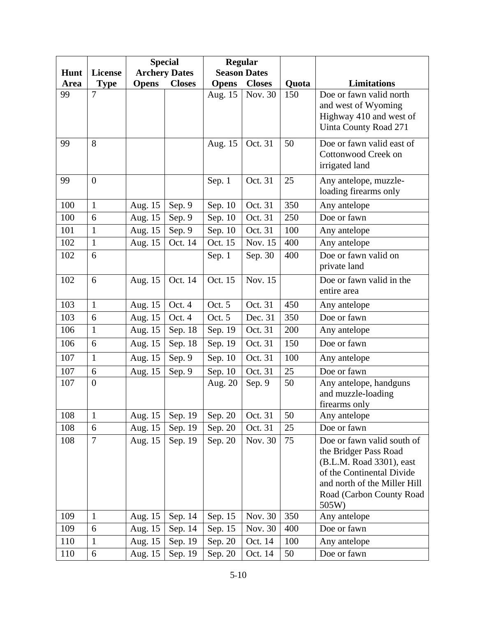|      |                |              | <b>Special</b>       |              | <b>Regular</b>      |       |                                                                                                                                                                                   |
|------|----------------|--------------|----------------------|--------------|---------------------|-------|-----------------------------------------------------------------------------------------------------------------------------------------------------------------------------------|
| Hunt | <b>License</b> |              | <b>Archery Dates</b> |              | <b>Season Dates</b> |       |                                                                                                                                                                                   |
| Area | <b>Type</b>    | <b>Opens</b> | <b>Closes</b>        | <b>Opens</b> | <b>Closes</b>       | Quota | Limitations                                                                                                                                                                       |
| 99   | $\overline{7}$ |              |                      | Aug. 15      | Nov. 30             | 150   | Doe or fawn valid north<br>and west of Wyoming<br>Highway 410 and west of<br>Uinta County Road 271                                                                                |
| 99   | 8              |              |                      | Aug. 15      | Oct. 31             | 50    | Doe or fawn valid east of<br>Cottonwood Creek on<br>irrigated land                                                                                                                |
| 99   | $\overline{0}$ |              |                      | Sep. 1       | Oct. 31             | 25    | Any antelope, muzzle-<br>loading firearms only                                                                                                                                    |
| 100  | $\mathbf{1}$   | Aug. 15      | Sep. 9               | Sep. 10      | Oct. 31             | 350   | Any antelope                                                                                                                                                                      |
| 100  | 6              | Aug. 15      | Sep. 9               | Sep. 10      | Oct. 31             | 250   | Doe or fawn                                                                                                                                                                       |
| 101  | $\mathbf{1}$   | Aug. 15      | Sep. 9               | Sep. 10      | Oct. 31             | 100   | Any antelope                                                                                                                                                                      |
| 102  | $\mathbf{1}$   | Aug. 15      | Oct. 14              | Oct. 15      | Nov. 15             | 400   | Any antelope                                                                                                                                                                      |
| 102  | 6              |              |                      | Sep. 1       | Sep. 30             | 400   | Doe or fawn valid on<br>private land                                                                                                                                              |
| 102  | 6              | Aug. 15      | Oct. 14              | Oct. 15      | Nov. 15             |       | Doe or fawn valid in the<br>entire area                                                                                                                                           |
| 103  | $\mathbf{1}$   | Aug. 15      | Oct. 4               | Oct. 5       | Oct. 31             | 450   | Any antelope                                                                                                                                                                      |
| 103  | 6              | Aug. 15      | Oct. 4               | Oct. 5       | Dec. 31             | 350   | Doe or fawn                                                                                                                                                                       |
| 106  | $\mathbf{1}$   | Aug. 15      | Sep. 18              | Sep. 19      | Oct. 31             | 200   | Any antelope                                                                                                                                                                      |
| 106  | 6              | Aug. 15      | Sep. 18              | Sep. 19      | Oct. 31             | 150   | Doe or fawn                                                                                                                                                                       |
| 107  | $\mathbf{1}$   | Aug. 15      | Sep. 9               | Sep. 10      | Oct. 31             | 100   | Any antelope                                                                                                                                                                      |
| 107  | 6              | Aug. 15      | Sep. 9               | Sep. 10      | Oct. 31             | 25    | Doe or fawn                                                                                                                                                                       |
| 107  | $\overline{0}$ |              |                      | Aug. 20      | Sep. 9              | 50    | Any antelope, handguns<br>and muzzle-loading<br>firearms only                                                                                                                     |
| 108  | $\mathbf{1}$   | Aug. 15      | Sep. 19              | Sep. 20      | Oct. 31             | 50    | Any antelope                                                                                                                                                                      |
| 108  | 6              | Aug. 15      | Sep. 19              | Sep. 20      | Oct. 31             | 25    | Doe or fawn                                                                                                                                                                       |
| 108  | $\overline{7}$ | Aug. 15      | Sep. 19              | Sep. 20      | Nov. 30             | 75    | Doe or fawn valid south of<br>the Bridger Pass Road<br>(B.L.M. Road 3301), east<br>of the Continental Divide<br>and north of the Miller Hill<br>Road (Carbon County Road<br>505W) |
| 109  | $\mathbf{1}$   | Aug. 15      | Sep. 14              | Sep. 15      | Nov. 30             | 350   | Any antelope                                                                                                                                                                      |
| 109  | 6              | Aug. 15      | Sep. 14              | Sep. 15      | Nov. 30             | 400   | Doe or fawn                                                                                                                                                                       |
| 110  | $\mathbf{1}$   | Aug. 15      | Sep. 19              | Sep. 20      | Oct. 14             | 100   | Any antelope                                                                                                                                                                      |
| 110  | 6              | Aug. 15      | Sep. 19              | Sep. 20      | Oct. 14             | 50    | Doe or fawn                                                                                                                                                                       |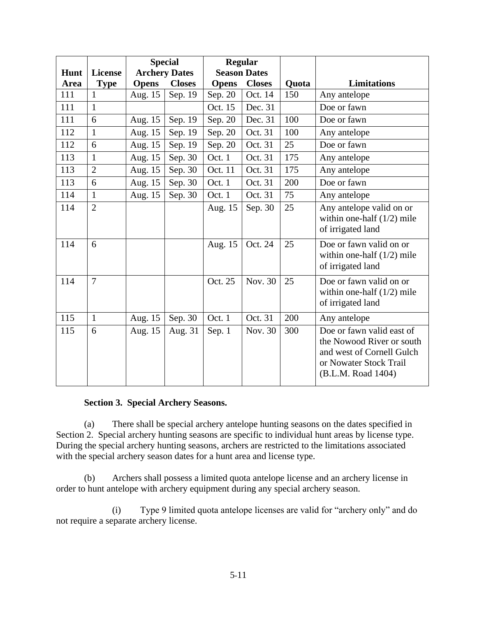|      |                |              | <b>Special</b>       |              | <b>Regular</b>      |              |                                                                                                                                     |
|------|----------------|--------------|----------------------|--------------|---------------------|--------------|-------------------------------------------------------------------------------------------------------------------------------------|
| Hunt | <b>License</b> |              | <b>Archery Dates</b> |              | <b>Season Dates</b> |              |                                                                                                                                     |
| Area | <b>Type</b>    | <b>Opens</b> | <b>Closes</b>        | <b>Opens</b> | <b>Closes</b>       | <b>Quota</b> | <b>Limitations</b>                                                                                                                  |
| 111  | 1              | Aug. 15      | Sep. 19              | Sep. 20      | Oct. 14             | 150          | Any antelope                                                                                                                        |
| 111  | $\mathbf{1}$   |              |                      | Oct. 15      | Dec. 31             |              | Doe or fawn                                                                                                                         |
| 111  | 6              | Aug. 15      | Sep. 19              | Sep. 20      | Dec. 31             | 100          | Doe or fawn                                                                                                                         |
| 112  | $\mathbf{1}$   | Aug. 15      | Sep. 19              | Sep. 20      | Oct. 31             | 100          | Any antelope                                                                                                                        |
| 112  | 6              | Aug. 15      | Sep. 19              | Sep. 20      | Oct. 31             | 25           | Doe or fawn                                                                                                                         |
| 113  | $\mathbf{1}$   | Aug. 15      | Sep. 30              | Oct. 1       | Oct. 31             | 175          | Any antelope                                                                                                                        |
| 113  | $\overline{2}$ | Aug. 15      | Sep. 30              | Oct. 11      | Oct. 31             | 175          | Any antelope                                                                                                                        |
| 113  | 6              | Aug. 15      | Sep. 30              | Oct. 1       | Oct. 31             | 200          | Doe or fawn                                                                                                                         |
| 114  | $\mathbf{1}$   | Aug. 15      | Sep. 30              | Oct. 1       | Oct. 31             | 75           | Any antelope                                                                                                                        |
| 114  | $\overline{2}$ |              |                      | Aug. 15      | Sep. 30             | 25           | Any antelope valid on or<br>within one-half $(1/2)$ mile<br>of irrigated land                                                       |
| 114  | 6              |              |                      | Aug. 15      | Oct. 24             | 25           | Doe or fawn valid on or<br>within one-half $(1/2)$ mile<br>of irrigated land                                                        |
| 114  | $\overline{7}$ |              |                      | Oct. 25      | Nov. 30             | 25           | Doe or fawn valid on or<br>within one-half $(1/2)$ mile<br>of irrigated land                                                        |
| 115  | $\mathbf{1}$   | Aug. 15      | Sep. 30              | Oct. 1       | Oct. 31             | 200          | Any antelope                                                                                                                        |
| 115  | 6              | Aug. 15      | Aug. 31              | Sep. 1       | Nov. 30             | 300          | Doe or fawn valid east of<br>the Nowood River or south<br>and west of Cornell Gulch<br>or Nowater Stock Trail<br>(B.L.M. Road 1404) |

## **Section 3. Special Archery Seasons.**

(a) There shall be special archery antelope hunting seasons on the dates specified in Section 2. Special archery hunting seasons are specific to individual hunt areas by license type. During the special archery hunting seasons, archers are restricted to the limitations associated with the special archery season dates for a hunt area and license type.

(b) Archers shall possess a limited quota antelope license and an archery license in order to hunt antelope with archery equipment during any special archery season.

(i) Type 9 limited quota antelope licenses are valid for "archery only" and do not require a separate archery license.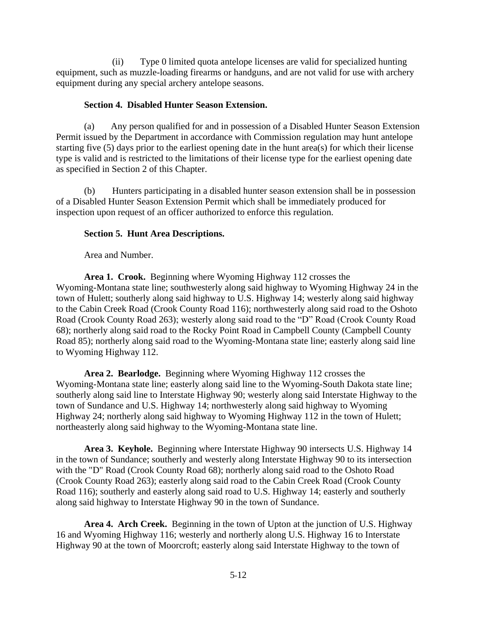(ii) Type 0 limited quota antelope licenses are valid for specialized hunting equipment, such as muzzle-loading firearms or handguns, and are not valid for use with archery equipment during any special archery antelope seasons.

#### **Section 4. Disabled Hunter Season Extension.**

(a) Any person qualified for and in possession of a Disabled Hunter Season Extension Permit issued by the Department in accordance with Commission regulation may hunt antelope starting five (5) days prior to the earliest opening date in the hunt area(s) for which their license type is valid and is restricted to the limitations of their license type for the earliest opening date as specified in Section 2 of this Chapter.

(b) Hunters participating in a disabled hunter season extension shall be in possession of a Disabled Hunter Season Extension Permit which shall be immediately produced for inspection upon request of an officer authorized to enforce this regulation.

## **Section 5. Hunt Area Descriptions.**

Area and Number.

**Area 1. Crook.** Beginning where Wyoming Highway 112 crosses the Wyoming-Montana state line; southwesterly along said highway to Wyoming Highway 24 in the town of Hulett; southerly along said highway to U.S. Highway 14; westerly along said highway to the Cabin Creek Road (Crook County Road 116); northwesterly along said road to the Oshoto Road (Crook County Road 263); westerly along said road to the "D" Road (Crook County Road 68); northerly along said road to the Rocky Point Road in Campbell County (Campbell County Road 85); northerly along said road to the Wyoming-Montana state line; easterly along said line to Wyoming Highway 112.

**Area 2. Bearlodge.** Beginning where Wyoming Highway 112 crosses the Wyoming-Montana state line; easterly along said line to the Wyoming-South Dakota state line; southerly along said line to Interstate Highway 90; westerly along said Interstate Highway to the town of Sundance and U.S. Highway 14; northwesterly along said highway to Wyoming Highway 24; northerly along said highway to Wyoming Highway 112 in the town of Hulett; northeasterly along said highway to the Wyoming-Montana state line.

**Area 3. Keyhole.** Beginning where Interstate Highway 90 intersects U.S. Highway 14 in the town of Sundance; southerly and westerly along Interstate Highway 90 to its intersection with the "D" Road (Crook County Road 68); northerly along said road to the Oshoto Road (Crook County Road 263); easterly along said road to the Cabin Creek Road (Crook County Road 116); southerly and easterly along said road to U.S. Highway 14; easterly and southerly along said highway to Interstate Highway 90 in the town of Sundance.

**Area 4. Arch Creek.** Beginning in the town of Upton at the junction of U.S. Highway 16 and Wyoming Highway 116; westerly and northerly along U.S. Highway 16 to Interstate Highway 90 at the town of Moorcroft; easterly along said Interstate Highway to the town of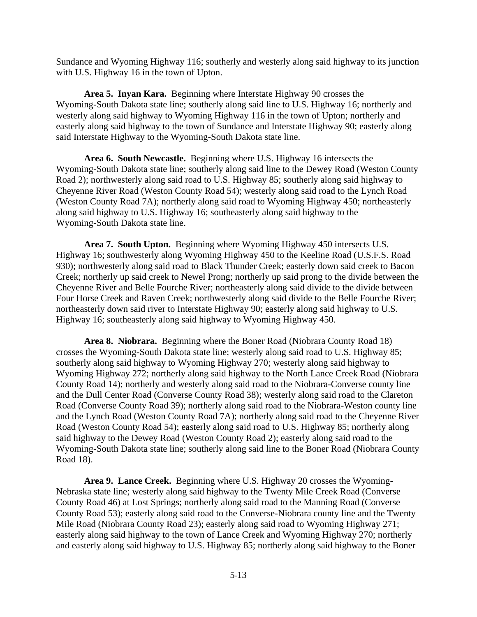Sundance and Wyoming Highway 116; southerly and westerly along said highway to its junction with U.S. Highway 16 in the town of Upton.

**Area 5. Inyan Kara.** Beginning where Interstate Highway 90 crosses the Wyoming-South Dakota state line; southerly along said line to U.S. Highway 16; northerly and westerly along said highway to Wyoming Highway 116 in the town of Upton; northerly and easterly along said highway to the town of Sundance and Interstate Highway 90; easterly along said Interstate Highway to the Wyoming-South Dakota state line.

**Area 6. South Newcastle.** Beginning where U.S. Highway 16 intersects the Wyoming-South Dakota state line; southerly along said line to the Dewey Road (Weston County Road 2); northwesterly along said road to U.S. Highway 85; southerly along said highway to Cheyenne River Road (Weston County Road 54); westerly along said road to the Lynch Road (Weston County Road 7A); northerly along said road to Wyoming Highway 450; northeasterly along said highway to U.S. Highway 16; southeasterly along said highway to the Wyoming-South Dakota state line.

**Area 7. South Upton.** Beginning where Wyoming Highway 450 intersects U.S. Highway 16; southwesterly along Wyoming Highway 450 to the Keeline Road (U.S.F.S. Road 930); northwesterly along said road to Black Thunder Creek; easterly down said creek to Bacon Creek; northerly up said creek to Newel Prong; northerly up said prong to the divide between the Cheyenne River and Belle Fourche River; northeasterly along said divide to the divide between Four Horse Creek and Raven Creek; northwesterly along said divide to the Belle Fourche River; northeasterly down said river to Interstate Highway 90; easterly along said highway to U.S. Highway 16; southeasterly along said highway to Wyoming Highway 450.

**Area 8. Niobrara.** Beginning where the Boner Road (Niobrara County Road 18) crosses the Wyoming-South Dakota state line; westerly along said road to U.S. Highway 85; southerly along said highway to Wyoming Highway 270; westerly along said highway to Wyoming Highway 272; northerly along said highway to the North Lance Creek Road (Niobrara County Road 14); northerly and westerly along said road to the Niobrara-Converse county line and the Dull Center Road (Converse County Road 38); westerly along said road to the Clareton Road (Converse County Road 39); northerly along said road to the Niobrara-Weston county line and the Lynch Road (Weston County Road 7A); northerly along said road to the Cheyenne River Road (Weston County Road 54); easterly along said road to U.S. Highway 85; northerly along said highway to the Dewey Road (Weston County Road 2); easterly along said road to the Wyoming-South Dakota state line; southerly along said line to the Boner Road (Niobrara County Road 18).

**Area 9. Lance Creek.** Beginning where U.S. Highway 20 crosses the Wyoming-Nebraska state line; westerly along said highway to the Twenty Mile Creek Road (Converse County Road 46) at Lost Springs; northerly along said road to the Manning Road (Converse County Road 53); easterly along said road to the Converse-Niobrara county line and the Twenty Mile Road (Niobrara County Road 23); easterly along said road to Wyoming Highway 271; easterly along said highway to the town of Lance Creek and Wyoming Highway 270; northerly and easterly along said highway to U.S. Highway 85; northerly along said highway to the Boner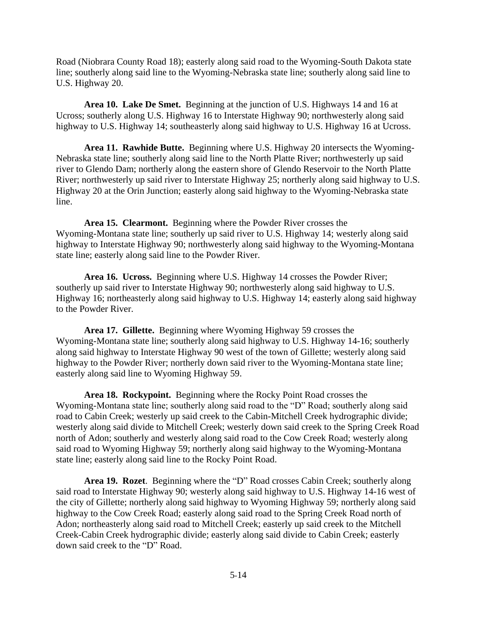Road (Niobrara County Road 18); easterly along said road to the Wyoming-South Dakota state line; southerly along said line to the Wyoming-Nebraska state line; southerly along said line to U.S. Highway 20.

**Area 10. Lake De Smet.** Beginning at the junction of U.S. Highways 14 and 16 at Ucross; southerly along U.S. Highway 16 to Interstate Highway 90; northwesterly along said highway to U.S. Highway 14; southeasterly along said highway to U.S. Highway 16 at Ucross.

**Area 11. Rawhide Butte.** Beginning where U.S. Highway 20 intersects the Wyoming-Nebraska state line; southerly along said line to the North Platte River; northwesterly up said river to Glendo Dam; northerly along the eastern shore of Glendo Reservoir to the North Platte River; northwesterly up said river to Interstate Highway 25; northerly along said highway to U.S. Highway 20 at the Orin Junction; easterly along said highway to the Wyoming-Nebraska state line.

**Area 15. Clearmont.** Beginning where the Powder River crosses the Wyoming-Montana state line; southerly up said river to U.S. Highway 14; westerly along said highway to Interstate Highway 90; northwesterly along said highway to the Wyoming-Montana state line; easterly along said line to the Powder River.

**Area 16. Ucross.** Beginning where U.S. Highway 14 crosses the Powder River; southerly up said river to Interstate Highway 90; northwesterly along said highway to U.S. Highway 16; northeasterly along said highway to U.S. Highway 14; easterly along said highway to the Powder River.

**Area 17. Gillette.** Beginning where Wyoming Highway 59 crosses the Wyoming-Montana state line; southerly along said highway to U.S. Highway 14-16; southerly along said highway to Interstate Highway 90 west of the town of Gillette; westerly along said highway to the Powder River; northerly down said river to the Wyoming-Montana state line; easterly along said line to Wyoming Highway 59.

**Area 18. Rockypoint.** Beginning where the Rocky Point Road crosses the Wyoming-Montana state line; southerly along said road to the "D" Road; southerly along said road to Cabin Creek; westerly up said creek to the Cabin-Mitchell Creek hydrographic divide; westerly along said divide to Mitchell Creek; westerly down said creek to the Spring Creek Road north of Adon; southerly and westerly along said road to the Cow Creek Road; westerly along said road to Wyoming Highway 59; northerly along said highway to the Wyoming-Montana state line; easterly along said line to the Rocky Point Road.

**Area 19. Rozet**. Beginning where the "D" Road crosses Cabin Creek; southerly along said road to Interstate Highway 90; westerly along said highway to U.S. Highway 14-16 west of the city of Gillette; northerly along said highway to Wyoming Highway 59; northerly along said highway to the Cow Creek Road; easterly along said road to the Spring Creek Road north of Adon; northeasterly along said road to Mitchell Creek; easterly up said creek to the Mitchell Creek-Cabin Creek hydrographic divide; easterly along said divide to Cabin Creek; easterly down said creek to the "D" Road.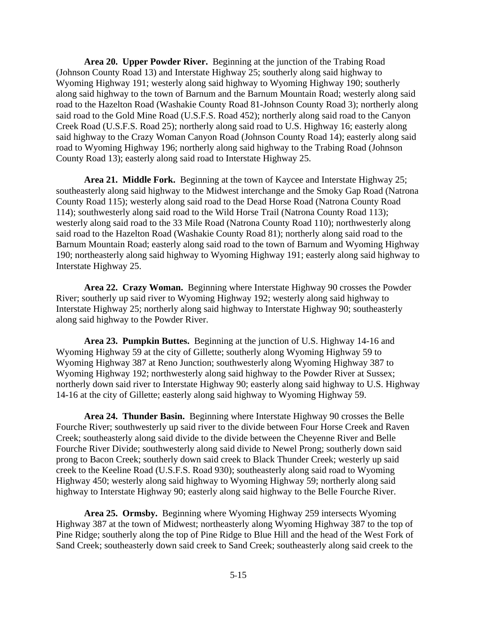**Area 20. Upper Powder River.** Beginning at the junction of the Trabing Road (Johnson County Road 13) and Interstate Highway 25; southerly along said highway to Wyoming Highway 191; westerly along said highway to Wyoming Highway 190; southerly along said highway to the town of Barnum and the Barnum Mountain Road; westerly along said road to the Hazelton Road (Washakie County Road 81-Johnson County Road 3); northerly along said road to the Gold Mine Road (U.S.F.S. Road 452); northerly along said road to the Canyon Creek Road (U.S.F.S. Road 25); northerly along said road to U.S. Highway 16; easterly along said highway to the Crazy Woman Canyon Road (Johnson County Road 14); easterly along said road to Wyoming Highway 196; northerly along said highway to the Trabing Road (Johnson County Road 13); easterly along said road to Interstate Highway 25.

**Area 21. Middle Fork.** Beginning at the town of Kaycee and Interstate Highway 25; southeasterly along said highway to the Midwest interchange and the Smoky Gap Road (Natrona County Road 115); westerly along said road to the Dead Horse Road (Natrona County Road 114); southwesterly along said road to the Wild Horse Trail (Natrona County Road 113); westerly along said road to the 33 Mile Road (Natrona County Road 110); northwesterly along said road to the Hazelton Road (Washakie County Road 81); northerly along said road to the Barnum Mountain Road; easterly along said road to the town of Barnum and Wyoming Highway 190; northeasterly along said highway to Wyoming Highway 191; easterly along said highway to Interstate Highway 25.

**Area 22. Crazy Woman.** Beginning where Interstate Highway 90 crosses the Powder River; southerly up said river to Wyoming Highway 192; westerly along said highway to Interstate Highway 25; northerly along said highway to Interstate Highway 90; southeasterly along said highway to the Powder River.

**Area 23. Pumpkin Buttes.** Beginning at the junction of U.S. Highway 14-16 and Wyoming Highway 59 at the city of Gillette; southerly along Wyoming Highway 59 to Wyoming Highway 387 at Reno Junction; southwesterly along Wyoming Highway 387 to Wyoming Highway 192; northwesterly along said highway to the Powder River at Sussex; northerly down said river to Interstate Highway 90; easterly along said highway to U.S. Highway 14-16 at the city of Gillette; easterly along said highway to Wyoming Highway 59.

**Area 24. Thunder Basin.** Beginning where Interstate Highway 90 crosses the Belle Fourche River; southwesterly up said river to the divide between Four Horse Creek and Raven Creek; southeasterly along said divide to the divide between the Cheyenne River and Belle Fourche River Divide; southwesterly along said divide to Newel Prong; southerly down said prong to Bacon Creek; southerly down said creek to Black Thunder Creek; westerly up said creek to the Keeline Road (U.S.F.S. Road 930); southeasterly along said road to Wyoming Highway 450; westerly along said highway to Wyoming Highway 59; northerly along said highway to Interstate Highway 90; easterly along said highway to the Belle Fourche River.

**Area 25. Ormsby.** Beginning where Wyoming Highway 259 intersects Wyoming Highway 387 at the town of Midwest; northeasterly along Wyoming Highway 387 to the top of Pine Ridge; southerly along the top of Pine Ridge to Blue Hill and the head of the West Fork of Sand Creek; southeasterly down said creek to Sand Creek; southeasterly along said creek to the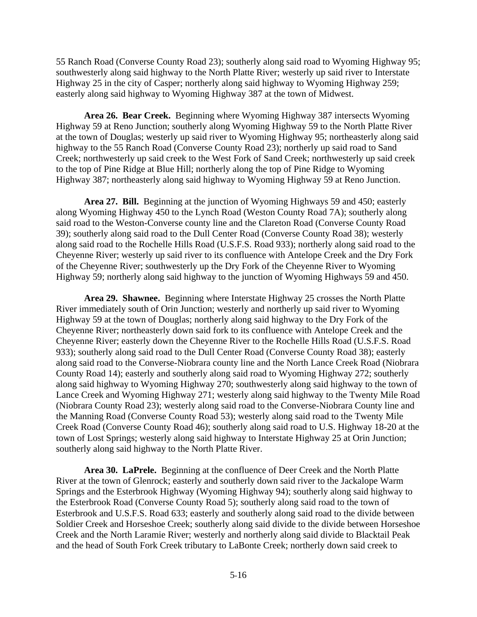55 Ranch Road (Converse County Road 23); southerly along said road to Wyoming Highway 95; southwesterly along said highway to the North Platte River; westerly up said river to Interstate Highway 25 in the city of Casper; northerly along said highway to Wyoming Highway 259; easterly along said highway to Wyoming Highway 387 at the town of Midwest.

**Area 26. Bear Creek.** Beginning where Wyoming Highway 387 intersects Wyoming Highway 59 at Reno Junction; southerly along Wyoming Highway 59 to the North Platte River at the town of Douglas; westerly up said river to Wyoming Highway 95; northeasterly along said highway to the 55 Ranch Road (Converse County Road 23); northerly up said road to Sand Creek; northwesterly up said creek to the West Fork of Sand Creek; northwesterly up said creek to the top of Pine Ridge at Blue Hill; northerly along the top of Pine Ridge to Wyoming Highway 387; northeasterly along said highway to Wyoming Highway 59 at Reno Junction.

**Area 27. Bill.** Beginning at the junction of Wyoming Highways 59 and 450; easterly along Wyoming Highway 450 to the Lynch Road (Weston County Road 7A); southerly along said road to the Weston-Converse county line and the Clareton Road (Converse County Road 39); southerly along said road to the Dull Center Road (Converse County Road 38); westerly along said road to the Rochelle Hills Road (U.S.F.S. Road 933); northerly along said road to the Cheyenne River; westerly up said river to its confluence with Antelope Creek and the Dry Fork of the Cheyenne River; southwesterly up the Dry Fork of the Cheyenne River to Wyoming Highway 59; northerly along said highway to the junction of Wyoming Highways 59 and 450.

**Area 29. Shawnee.** Beginning where Interstate Highway 25 crosses the North Platte River immediately south of Orin Junction; westerly and northerly up said river to Wyoming Highway 59 at the town of Douglas; northerly along said highway to the Dry Fork of the Cheyenne River; northeasterly down said fork to its confluence with Antelope Creek and the Cheyenne River; easterly down the Cheyenne River to the Rochelle Hills Road (U.S.F.S. Road 933); southerly along said road to the Dull Center Road (Converse County Road 38); easterly along said road to the Converse-Niobrara county line and the North Lance Creek Road (Niobrara County Road 14); easterly and southerly along said road to Wyoming Highway 272; southerly along said highway to Wyoming Highway 270; southwesterly along said highway to the town of Lance Creek and Wyoming Highway 271; westerly along said highway to the Twenty Mile Road (Niobrara County Road 23); westerly along said road to the Converse-Niobrara County line and the Manning Road (Converse County Road 53); westerly along said road to the Twenty Mile Creek Road (Converse County Road 46); southerly along said road to U.S. Highway 18-20 at the town of Lost Springs; westerly along said highway to Interstate Highway 25 at Orin Junction; southerly along said highway to the North Platte River.

**Area 30. LaPrele.** Beginning at the confluence of Deer Creek and the North Platte River at the town of Glenrock; easterly and southerly down said river to the Jackalope Warm Springs and the Esterbrook Highway (Wyoming Highway 94); southerly along said highway to the Esterbrook Road (Converse County Road 5); southerly along said road to the town of Esterbrook and U.S.F.S. Road 633; easterly and southerly along said road to the divide between Soldier Creek and Horseshoe Creek; southerly along said divide to the divide between Horseshoe Creek and the North Laramie River; westerly and northerly along said divide to Blacktail Peak and the head of South Fork Creek tributary to LaBonte Creek; northerly down said creek to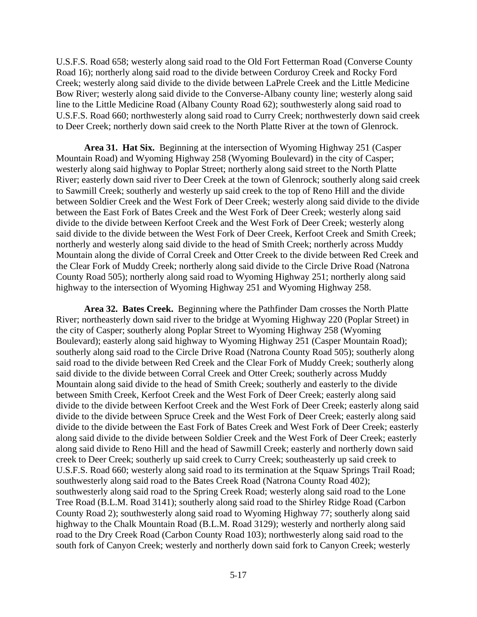U.S.F.S. Road 658; westerly along said road to the Old Fort Fetterman Road (Converse County Road 16); northerly along said road to the divide between Corduroy Creek and Rocky Ford Creek; westerly along said divide to the divide between LaPrele Creek and the Little Medicine Bow River; westerly along said divide to the Converse-Albany county line; westerly along said line to the Little Medicine Road (Albany County Road 62); southwesterly along said road to U.S.F.S. Road 660; northwesterly along said road to Curry Creek; northwesterly down said creek to Deer Creek; northerly down said creek to the North Platte River at the town of Glenrock.

**Area 31. Hat Six.** Beginning at the intersection of Wyoming Highway 251 (Casper Mountain Road) and Wyoming Highway 258 (Wyoming Boulevard) in the city of Casper; westerly along said highway to Poplar Street; northerly along said street to the North Platte River; easterly down said river to Deer Creek at the town of Glenrock; southerly along said creek to Sawmill Creek; southerly and westerly up said creek to the top of Reno Hill and the divide between Soldier Creek and the West Fork of Deer Creek; westerly along said divide to the divide between the East Fork of Bates Creek and the West Fork of Deer Creek; westerly along said divide to the divide between Kerfoot Creek and the West Fork of Deer Creek; westerly along said divide to the divide between the West Fork of Deer Creek, Kerfoot Creek and Smith Creek; northerly and westerly along said divide to the head of Smith Creek; northerly across Muddy Mountain along the divide of Corral Creek and Otter Creek to the divide between Red Creek and the Clear Fork of Muddy Creek; northerly along said divide to the Circle Drive Road (Natrona County Road 505); northerly along said road to Wyoming Highway 251; northerly along said highway to the intersection of Wyoming Highway 251 and Wyoming Highway 258.

**Area 32. Bates Creek.** Beginning where the Pathfinder Dam crosses the North Platte River; northeasterly down said river to the bridge at Wyoming Highway 220 (Poplar Street) in the city of Casper; southerly along Poplar Street to Wyoming Highway 258 (Wyoming Boulevard); easterly along said highway to Wyoming Highway 251 (Casper Mountain Road); southerly along said road to the Circle Drive Road (Natrona County Road 505); southerly along said road to the divide between Red Creek and the Clear Fork of Muddy Creek; southerly along said divide to the divide between Corral Creek and Otter Creek; southerly across Muddy Mountain along said divide to the head of Smith Creek; southerly and easterly to the divide between Smith Creek, Kerfoot Creek and the West Fork of Deer Creek; easterly along said divide to the divide between Kerfoot Creek and the West Fork of Deer Creek; easterly along said divide to the divide between Spruce Creek and the West Fork of Deer Creek; easterly along said divide to the divide between the East Fork of Bates Creek and West Fork of Deer Creek; easterly along said divide to the divide between Soldier Creek and the West Fork of Deer Creek; easterly along said divide to Reno Hill and the head of Sawmill Creek; easterly and northerly down said creek to Deer Creek; southerly up said creek to Curry Creek; southeasterly up said creek to U.S.F.S. Road 660; westerly along said road to its termination at the Squaw Springs Trail Road; southwesterly along said road to the Bates Creek Road (Natrona County Road 402); southwesterly along said road to the Spring Creek Road; westerly along said road to the Lone Tree Road (B.L.M. Road 3141); southerly along said road to the Shirley Ridge Road (Carbon County Road 2); southwesterly along said road to Wyoming Highway 77; southerly along said highway to the Chalk Mountain Road (B.L.M. Road 3129); westerly and northerly along said road to the Dry Creek Road (Carbon County Road 103); northwesterly along said road to the south fork of Canyon Creek; westerly and northerly down said fork to Canyon Creek; westerly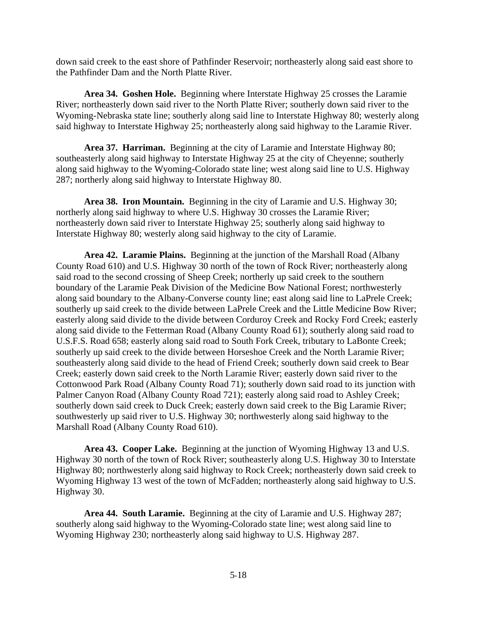down said creek to the east shore of Pathfinder Reservoir; northeasterly along said east shore to the Pathfinder Dam and the North Platte River.

**Area 34. Goshen Hole.** Beginning where Interstate Highway 25 crosses the Laramie River; northeasterly down said river to the North Platte River; southerly down said river to the Wyoming-Nebraska state line; southerly along said line to Interstate Highway 80; westerly along said highway to Interstate Highway 25; northeasterly along said highway to the Laramie River.

**Area 37. Harriman.** Beginning at the city of Laramie and Interstate Highway 80; southeasterly along said highway to Interstate Highway 25 at the city of Cheyenne; southerly along said highway to the Wyoming-Colorado state line; west along said line to U.S. Highway 287; northerly along said highway to Interstate Highway 80.

**Area 38. Iron Mountain.** Beginning in the city of Laramie and U.S. Highway 30; northerly along said highway to where U.S. Highway 30 crosses the Laramie River; northeasterly down said river to Interstate Highway 25; southerly along said highway to Interstate Highway 80; westerly along said highway to the city of Laramie.

**Area 42. Laramie Plains.** Beginning at the junction of the Marshall Road (Albany County Road 610) and U.S. Highway 30 north of the town of Rock River; northeasterly along said road to the second crossing of Sheep Creek; northerly up said creek to the southern boundary of the Laramie Peak Division of the Medicine Bow National Forest; northwesterly along said boundary to the Albany-Converse county line; east along said line to LaPrele Creek; southerly up said creek to the divide between LaPrele Creek and the Little Medicine Bow River; easterly along said divide to the divide between Corduroy Creek and Rocky Ford Creek; easterly along said divide to the Fetterman Road (Albany County Road 61); southerly along said road to U.S.F.S. Road 658; easterly along said road to South Fork Creek, tributary to LaBonte Creek; southerly up said creek to the divide between Horseshoe Creek and the North Laramie River; southeasterly along said divide to the head of Friend Creek; southerly down said creek to Bear Creek; easterly down said creek to the North Laramie River; easterly down said river to the Cottonwood Park Road (Albany County Road 71); southerly down said road to its junction with Palmer Canyon Road (Albany County Road 721); easterly along said road to Ashley Creek; southerly down said creek to Duck Creek; easterly down said creek to the Big Laramie River; southwesterly up said river to U.S. Highway 30; northwesterly along said highway to the Marshall Road (Albany County Road 610).

**Area 43. Cooper Lake.** Beginning at the junction of Wyoming Highway 13 and U.S. Highway 30 north of the town of Rock River; southeasterly along U.S. Highway 30 to Interstate Highway 80; northwesterly along said highway to Rock Creek; northeasterly down said creek to Wyoming Highway 13 west of the town of McFadden; northeasterly along said highway to U.S. Highway 30.

**Area 44. South Laramie.** Beginning at the city of Laramie and U.S. Highway 287; southerly along said highway to the Wyoming-Colorado state line; west along said line to Wyoming Highway 230; northeasterly along said highway to U.S. Highway 287.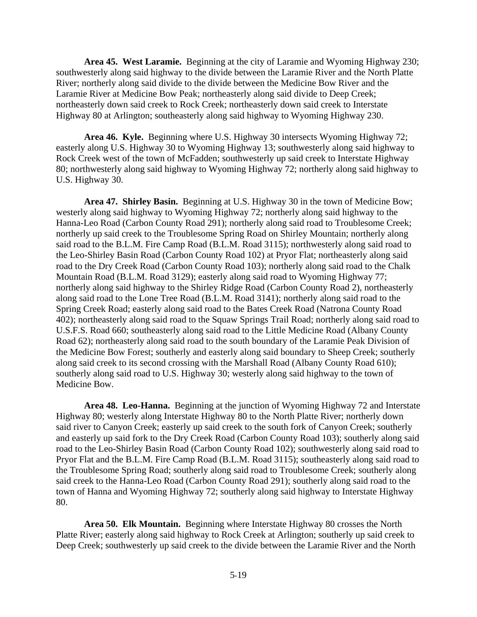**Area 45. West Laramie.** Beginning at the city of Laramie and Wyoming Highway 230; southwesterly along said highway to the divide between the Laramie River and the North Platte River; northerly along said divide to the divide between the Medicine Bow River and the Laramie River at Medicine Bow Peak; northeasterly along said divide to Deep Creek; northeasterly down said creek to Rock Creek; northeasterly down said creek to Interstate Highway 80 at Arlington; southeasterly along said highway to Wyoming Highway 230.

**Area 46. Kyle.** Beginning where U.S. Highway 30 intersects Wyoming Highway 72; easterly along U.S. Highway 30 to Wyoming Highway 13; southwesterly along said highway to Rock Creek west of the town of McFadden; southwesterly up said creek to Interstate Highway 80; northwesterly along said highway to Wyoming Highway 72; northerly along said highway to U.S. Highway 30.

**Area 47. Shirley Basin.** Beginning at U.S. Highway 30 in the town of Medicine Bow; westerly along said highway to Wyoming Highway 72; northerly along said highway to the Hanna-Leo Road (Carbon County Road 291); northerly along said road to Troublesome Creek; northerly up said creek to the Troublesome Spring Road on Shirley Mountain; northerly along said road to the B.L.M. Fire Camp Road (B.L.M. Road 3115); northwesterly along said road to the Leo-Shirley Basin Road (Carbon County Road 102) at Pryor Flat; northeasterly along said road to the Dry Creek Road (Carbon County Road 103); northerly along said road to the Chalk Mountain Road (B.L.M. Road 3129); easterly along said road to Wyoming Highway 77; northerly along said highway to the Shirley Ridge Road (Carbon County Road 2), northeasterly along said road to the Lone Tree Road (B.L.M. Road 3141); northerly along said road to the Spring Creek Road; easterly along said road to the Bates Creek Road (Natrona County Road 402); northeasterly along said road to the Squaw Springs Trail Road; northerly along said road to U.S.F.S. Road 660; southeasterly along said road to the Little Medicine Road (Albany County Road 62); northeasterly along said road to the south boundary of the Laramie Peak Division of the Medicine Bow Forest; southerly and easterly along said boundary to Sheep Creek; southerly along said creek to its second crossing with the Marshall Road (Albany County Road 610); southerly along said road to U.S. Highway 30; westerly along said highway to the town of Medicine Bow.

**Area 48. Leo-Hanna.** Beginning at the junction of Wyoming Highway 72 and Interstate Highway 80; westerly along Interstate Highway 80 to the North Platte River; northerly down said river to Canyon Creek; easterly up said creek to the south fork of Canyon Creek; southerly and easterly up said fork to the Dry Creek Road (Carbon County Road 103); southerly along said road to the Leo-Shirley Basin Road (Carbon County Road 102); southwesterly along said road to Pryor Flat and the B.L.M. Fire Camp Road (B.L.M. Road 3115); southeasterly along said road to the Troublesome Spring Road; southerly along said road to Troublesome Creek; southerly along said creek to the Hanna-Leo Road (Carbon County Road 291); southerly along said road to the town of Hanna and Wyoming Highway 72; southerly along said highway to Interstate Highway 80.

**Area 50. Elk Mountain.** Beginning where Interstate Highway 80 crosses the North Platte River; easterly along said highway to Rock Creek at Arlington; southerly up said creek to Deep Creek; southwesterly up said creek to the divide between the Laramie River and the North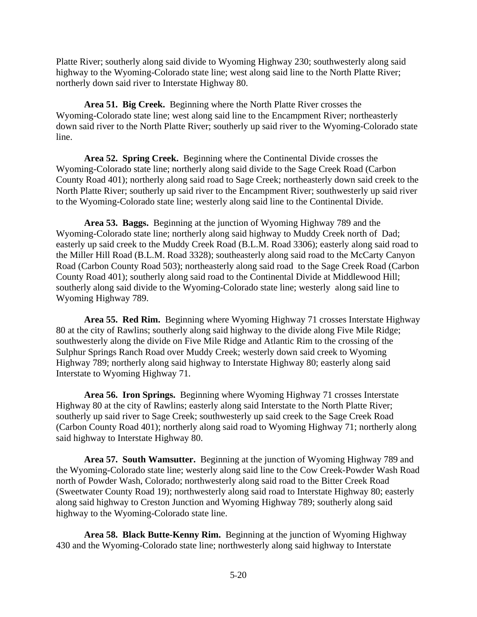Platte River; southerly along said divide to Wyoming Highway 230; southwesterly along said highway to the Wyoming-Colorado state line; west along said line to the North Platte River; northerly down said river to Interstate Highway 80.

**Area 51. Big Creek.** Beginning where the North Platte River crosses the Wyoming-Colorado state line; west along said line to the Encampment River; northeasterly down said river to the North Platte River; southerly up said river to the Wyoming-Colorado state line.

**Area 52. Spring Creek.** Beginning where the Continental Divide crosses the Wyoming-Colorado state line; northerly along said divide to the Sage Creek Road (Carbon County Road 401); northerly along said road to Sage Creek; northeasterly down said creek to the North Platte River; southerly up said river to the Encampment River; southwesterly up said river to the Wyoming-Colorado state line; westerly along said line to the Continental Divide.

**Area 53. Baggs.** Beginning at the junction of Wyoming Highway 789 and the Wyoming-Colorado state line; northerly along said highway to Muddy Creek north of Dad; easterly up said creek to the Muddy Creek Road (B.L.M. Road 3306); easterly along said road to the Miller Hill Road (B.L.M. Road 3328); southeasterly along said road to the McCarty Canyon Road (Carbon County Road 503); northeasterly along said road to the Sage Creek Road (Carbon County Road 401); southerly along said road to the Continental Divide at Middlewood Hill; southerly along said divide to the Wyoming-Colorado state line; westerly along said line to Wyoming Highway 789.

**Area 55. Red Rim.** Beginning where Wyoming Highway 71 crosses Interstate Highway 80 at the city of Rawlins; southerly along said highway to the divide along Five Mile Ridge; southwesterly along the divide on Five Mile Ridge and Atlantic Rim to the crossing of the Sulphur Springs Ranch Road over Muddy Creek; westerly down said creek to Wyoming Highway 789; northerly along said highway to Interstate Highway 80; easterly along said Interstate to Wyoming Highway 71.

**Area 56. Iron Springs.** Beginning where Wyoming Highway 71 crosses Interstate Highway 80 at the city of Rawlins; easterly along said Interstate to the North Platte River; southerly up said river to Sage Creek; southwesterly up said creek to the Sage Creek Road (Carbon County Road 401); northerly along said road to Wyoming Highway 71; northerly along said highway to Interstate Highway 80.

**Area 57. South Wamsutter.** Beginning at the junction of Wyoming Highway 789 and the Wyoming-Colorado state line; westerly along said line to the Cow Creek-Powder Wash Road north of Powder Wash, Colorado; northwesterly along said road to the Bitter Creek Road (Sweetwater County Road 19); northwesterly along said road to Interstate Highway 80; easterly along said highway to Creston Junction and Wyoming Highway 789; southerly along said highway to the Wyoming-Colorado state line.

**Area 58. Black Butte-Kenny Rim.** Beginning at the junction of Wyoming Highway 430 and the Wyoming-Colorado state line; northwesterly along said highway to Interstate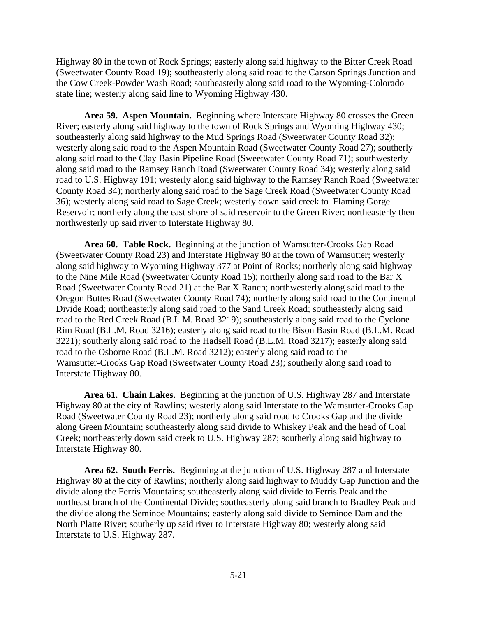Highway 80 in the town of Rock Springs; easterly along said highway to the Bitter Creek Road (Sweetwater County Road 19); southeasterly along said road to the Carson Springs Junction and the Cow Creek-Powder Wash Road; southeasterly along said road to the Wyoming-Colorado state line; westerly along said line to Wyoming Highway 430.

**Area 59. Aspen Mountain.** Beginning where Interstate Highway 80 crosses the Green River; easterly along said highway to the town of Rock Springs and Wyoming Highway 430; southeasterly along said highway to the Mud Springs Road (Sweetwater County Road 32); westerly along said road to the Aspen Mountain Road (Sweetwater County Road 27); southerly along said road to the Clay Basin Pipeline Road (Sweetwater County Road 71); southwesterly along said road to the Ramsey Ranch Road (Sweetwater County Road 34); westerly along said road to U.S. Highway 191; westerly along said highway to the Ramsey Ranch Road (Sweetwater County Road 34); northerly along said road to the Sage Creek Road (Sweetwater County Road 36); westerly along said road to Sage Creek; westerly down said creek to Flaming Gorge Reservoir; northerly along the east shore of said reservoir to the Green River; northeasterly then northwesterly up said river to Interstate Highway 80.

**Area 60. Table Rock.** Beginning at the junction of Wamsutter-Crooks Gap Road (Sweetwater County Road 23) and Interstate Highway 80 at the town of Wamsutter; westerly along said highway to Wyoming Highway 377 at Point of Rocks; northerly along said highway to the Nine Mile Road (Sweetwater County Road 15); northerly along said road to the Bar X Road (Sweetwater County Road 21) at the Bar X Ranch; northwesterly along said road to the Oregon Buttes Road (Sweetwater County Road 74); northerly along said road to the Continental Divide Road; northeasterly along said road to the Sand Creek Road; southeasterly along said road to the Red Creek Road (B.L.M. Road 3219); southeasterly along said road to the Cyclone Rim Road (B.L.M. Road 3216); easterly along said road to the Bison Basin Road (B.L.M. Road 3221); southerly along said road to the Hadsell Road (B.L.M. Road 3217); easterly along said road to the Osborne Road (B.L.M. Road 3212); easterly along said road to the Wamsutter-Crooks Gap Road (Sweetwater County Road 23); southerly along said road to Interstate Highway 80.

**Area 61. Chain Lakes.** Beginning at the junction of U.S. Highway 287 and Interstate Highway 80 at the city of Rawlins; westerly along said Interstate to the Wamsutter-Crooks Gap Road (Sweetwater County Road 23); northerly along said road to Crooks Gap and the divide along Green Mountain; southeasterly along said divide to Whiskey Peak and the head of Coal Creek; northeasterly down said creek to U.S. Highway 287; southerly along said highway to Interstate Highway 80.

**Area 62. South Ferris.** Beginning at the junction of U.S. Highway 287 and Interstate Highway 80 at the city of Rawlins; northerly along said highway to Muddy Gap Junction and the divide along the Ferris Mountains; southeasterly along said divide to Ferris Peak and the northeast branch of the Continental Divide; southeasterly along said branch to Bradley Peak and the divide along the Seminoe Mountains; easterly along said divide to Seminoe Dam and the North Platte River; southerly up said river to Interstate Highway 80; westerly along said Interstate to U.S. Highway 287.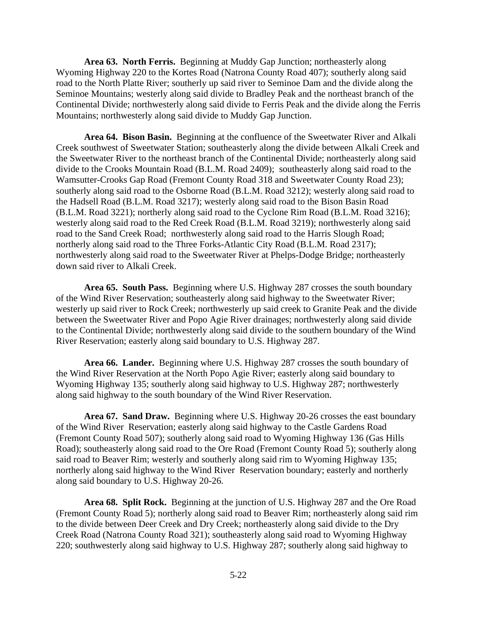**Area 63. North Ferris.** Beginning at Muddy Gap Junction; northeasterly along Wyoming Highway 220 to the Kortes Road (Natrona County Road 407); southerly along said road to the North Platte River; southerly up said river to Seminoe Dam and the divide along the Seminoe Mountains; westerly along said divide to Bradley Peak and the northeast branch of the Continental Divide; northwesterly along said divide to Ferris Peak and the divide along the Ferris Mountains; northwesterly along said divide to Muddy Gap Junction.

**Area 64. Bison Basin.** Beginning at the confluence of the Sweetwater River and Alkali Creek southwest of Sweetwater Station; southeasterly along the divide between Alkali Creek and the Sweetwater River to the northeast branch of the Continental Divide; northeasterly along said divide to the Crooks Mountain Road (B.L.M. Road 2409); southeasterly along said road to the Wamsutter-Crooks Gap Road (Fremont County Road 318 and Sweetwater County Road 23); southerly along said road to the Osborne Road (B.L.M. Road 3212); westerly along said road to the Hadsell Road (B.L.M. Road 3217); westerly along said road to the Bison Basin Road (B.L.M. Road 3221); northerly along said road to the Cyclone Rim Road (B.L.M. Road 3216); westerly along said road to the Red Creek Road (B.L.M. Road 3219); northwesterly along said road to the Sand Creek Road; northwesterly along said road to the Harris Slough Road; northerly along said road to the Three Forks-Atlantic City Road (B.L.M. Road 2317); northwesterly along said road to the Sweetwater River at Phelps-Dodge Bridge; northeasterly down said river to Alkali Creek.

**Area 65. South Pass.** Beginning where U.S. Highway 287 crosses the south boundary of the Wind River Reservation; southeasterly along said highway to the Sweetwater River; westerly up said river to Rock Creek; northwesterly up said creek to Granite Peak and the divide between the Sweetwater River and Popo Agie River drainages; northwesterly along said divide to the Continental Divide; northwesterly along said divide to the southern boundary of the Wind River Reservation; easterly along said boundary to U.S. Highway 287.

**Area 66. Lander.** Beginning where U.S. Highway 287 crosses the south boundary of the Wind River Reservation at the North Popo Agie River; easterly along said boundary to Wyoming Highway 135; southerly along said highway to U.S. Highway 287; northwesterly along said highway to the south boundary of the Wind River Reservation.

**Area 67. Sand Draw.** Beginning where U.S. Highway 20-26 crosses the east boundary of the Wind River Reservation; easterly along said highway to the Castle Gardens Road (Fremont County Road 507); southerly along said road to Wyoming Highway 136 (Gas Hills Road); southeasterly along said road to the Ore Road (Fremont County Road 5); southerly along said road to Beaver Rim; westerly and southerly along said rim to Wyoming Highway 135; northerly along said highway to the Wind River Reservation boundary; easterly and northerly along said boundary to U.S. Highway 20-26.

**Area 68. Split Rock.** Beginning at the junction of U.S. Highway 287 and the Ore Road (Fremont County Road 5); northerly along said road to Beaver Rim; northeasterly along said rim to the divide between Deer Creek and Dry Creek; northeasterly along said divide to the Dry Creek Road (Natrona County Road 321); southeasterly along said road to Wyoming Highway 220; southwesterly along said highway to U.S. Highway 287; southerly along said highway to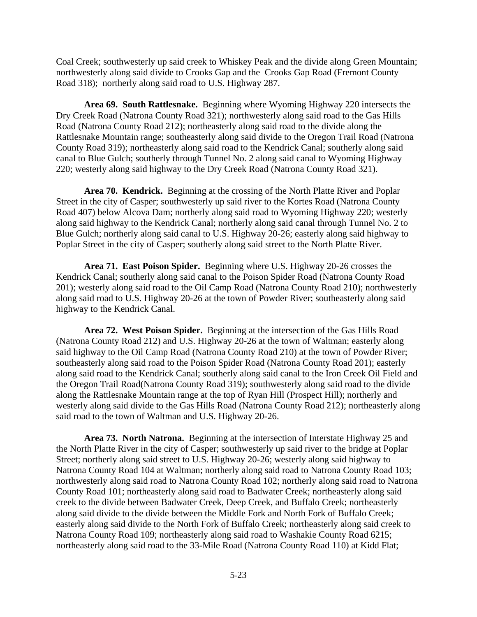Coal Creek; southwesterly up said creek to Whiskey Peak and the divide along Green Mountain; northwesterly along said divide to Crooks Gap and the Crooks Gap Road (Fremont County Road 318); northerly along said road to U.S. Highway 287.

**Area 69. South Rattlesnake.** Beginning where Wyoming Highway 220 intersects the Dry Creek Road (Natrona County Road 321); northwesterly along said road to the Gas Hills Road (Natrona County Road 212); northeasterly along said road to the divide along the Rattlesnake Mountain range; southeasterly along said divide to the Oregon Trail Road (Natrona County Road 319); northeasterly along said road to the Kendrick Canal; southerly along said canal to Blue Gulch; southerly through Tunnel No. 2 along said canal to Wyoming Highway 220; westerly along said highway to the Dry Creek Road (Natrona County Road 321).

**Area 70. Kendrick.** Beginning at the crossing of the North Platte River and Poplar Street in the city of Casper; southwesterly up said river to the Kortes Road (Natrona County Road 407) below Alcova Dam; northerly along said road to Wyoming Highway 220; westerly along said highway to the Kendrick Canal; northerly along said canal through Tunnel No. 2 to Blue Gulch; northerly along said canal to U.S. Highway 20-26; easterly along said highway to Poplar Street in the city of Casper; southerly along said street to the North Platte River.

**Area 71. East Poison Spider.** Beginning where U.S. Highway 20-26 crosses the Kendrick Canal; southerly along said canal to the Poison Spider Road (Natrona County Road 201); westerly along said road to the Oil Camp Road (Natrona County Road 210); northwesterly along said road to U.S. Highway 20-26 at the town of Powder River; southeasterly along said highway to the Kendrick Canal.

**Area 72. West Poison Spider.** Beginning at the intersection of the Gas Hills Road (Natrona County Road 212) and U.S. Highway 20-26 at the town of Waltman; easterly along said highway to the Oil Camp Road (Natrona County Road 210) at the town of Powder River; southeasterly along said road to the Poison Spider Road (Natrona County Road 201); easterly along said road to the Kendrick Canal; southerly along said canal to the Iron Creek Oil Field and the Oregon Trail Road(Natrona County Road 319); southwesterly along said road to the divide along the Rattlesnake Mountain range at the top of Ryan Hill (Prospect Hill); northerly and westerly along said divide to the Gas Hills Road (Natrona County Road 212); northeasterly along said road to the town of Waltman and U.S. Highway 20-26.

**Area 73. North Natrona.** Beginning at the intersection of Interstate Highway 25 and the North Platte River in the city of Casper; southwesterly up said river to the bridge at Poplar Street; northerly along said street to U.S. Highway 20-26; westerly along said highway to Natrona County Road 104 at Waltman; northerly along said road to Natrona County Road 103; northwesterly along said road to Natrona County Road 102; northerly along said road to Natrona County Road 101; northeasterly along said road to Badwater Creek; northeasterly along said creek to the divide between Badwater Creek, Deep Creek, and Buffalo Creek; northeasterly along said divide to the divide between the Middle Fork and North Fork of Buffalo Creek; easterly along said divide to the North Fork of Buffalo Creek; northeasterly along said creek to Natrona County Road 109; northeasterly along said road to Washakie County Road 6215; northeasterly along said road to the 33-Mile Road (Natrona County Road 110) at Kidd Flat;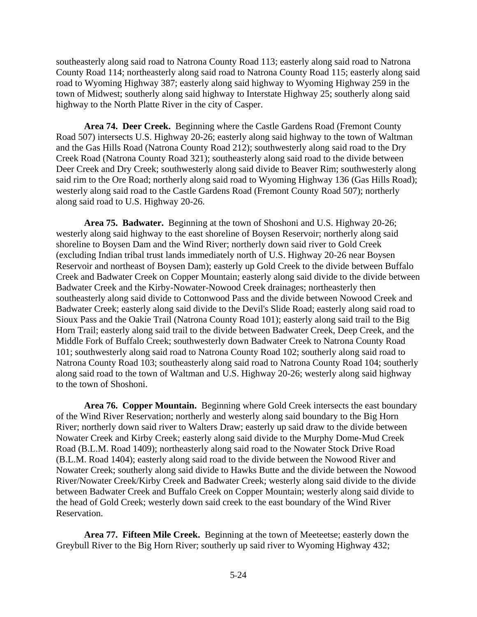southeasterly along said road to Natrona County Road 113; easterly along said road to Natrona County Road 114; northeasterly along said road to Natrona County Road 115; easterly along said road to Wyoming Highway 387; easterly along said highway to Wyoming Highway 259 in the town of Midwest; southerly along said highway to Interstate Highway 25; southerly along said highway to the North Platte River in the city of Casper.

**Area 74. Deer Creek.** Beginning where the Castle Gardens Road (Fremont County Road 507) intersects U.S. Highway 20-26; easterly along said highway to the town of Waltman and the Gas Hills Road (Natrona County Road 212); southwesterly along said road to the Dry Creek Road (Natrona County Road 321); southeasterly along said road to the divide between Deer Creek and Dry Creek; southwesterly along said divide to Beaver Rim; southwesterly along said rim to the Ore Road; northerly along said road to Wyoming Highway 136 (Gas Hills Road); westerly along said road to the Castle Gardens Road (Fremont County Road 507); northerly along said road to U.S. Highway 20-26.

**Area 75. Badwater.** Beginning at the town of Shoshoni and U.S. Highway 20-26; westerly along said highway to the east shoreline of Boysen Reservoir; northerly along said shoreline to Boysen Dam and the Wind River; northerly down said river to Gold Creek (excluding Indian tribal trust lands immediately north of U.S. Highway 20-26 near Boysen Reservoir and northeast of Boysen Dam); easterly up Gold Creek to the divide between Buffalo Creek and Badwater Creek on Copper Mountain; easterly along said divide to the divide between Badwater Creek and the Kirby-Nowater-Nowood Creek drainages; northeasterly then southeasterly along said divide to Cottonwood Pass and the divide between Nowood Creek and Badwater Creek; easterly along said divide to the Devil's Slide Road; easterly along said road to Sioux Pass and the Oakie Trail (Natrona County Road 101); easterly along said trail to the Big Horn Trail; easterly along said trail to the divide between Badwater Creek, Deep Creek, and the Middle Fork of Buffalo Creek; southwesterly down Badwater Creek to Natrona County Road 101; southwesterly along said road to Natrona County Road 102; southerly along said road to Natrona County Road 103; southeasterly along said road to Natrona County Road 104; southerly along said road to the town of Waltman and U.S. Highway 20-26; westerly along said highway to the town of Shoshoni.

**Area 76. Copper Mountain.** Beginning where Gold Creek intersects the east boundary of the Wind River Reservation; northerly and westerly along said boundary to the Big Horn River; northerly down said river to Walters Draw; easterly up said draw to the divide between Nowater Creek and Kirby Creek; easterly along said divide to the Murphy Dome-Mud Creek Road (B.L.M. Road 1409); northeasterly along said road to the Nowater Stock Drive Road (B.L.M. Road 1404); easterly along said road to the divide between the Nowood River and Nowater Creek; southerly along said divide to Hawks Butte and the divide between the Nowood River/Nowater Creek/Kirby Creek and Badwater Creek; westerly along said divide to the divide between Badwater Creek and Buffalo Creek on Copper Mountain; westerly along said divide to the head of Gold Creek; westerly down said creek to the east boundary of the Wind River Reservation.

**Area 77. Fifteen Mile Creek.** Beginning at the town of Meeteetse; easterly down the Greybull River to the Big Horn River; southerly up said river to Wyoming Highway 432;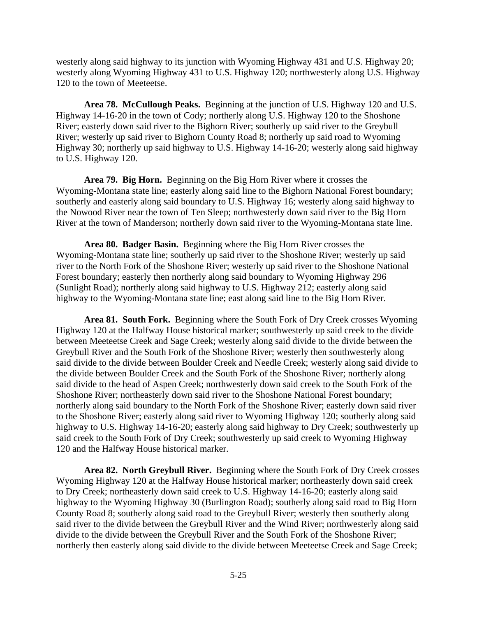westerly along said highway to its junction with Wyoming Highway 431 and U.S. Highway 20; westerly along Wyoming Highway 431 to U.S. Highway 120; northwesterly along U.S. Highway 120 to the town of Meeteetse.

**Area 78. McCullough Peaks.** Beginning at the junction of U.S. Highway 120 and U.S. Highway 14-16-20 in the town of Cody; northerly along U.S. Highway 120 to the Shoshone River; easterly down said river to the Bighorn River; southerly up said river to the Greybull River; westerly up said river to Bighorn County Road 8; northerly up said road to Wyoming Highway 30; northerly up said highway to U.S. Highway 14-16-20; westerly along said highway to U.S. Highway 120.

**Area 79. Big Horn.** Beginning on the Big Horn River where it crosses the Wyoming-Montana state line; easterly along said line to the Bighorn National Forest boundary; southerly and easterly along said boundary to U.S. Highway 16; westerly along said highway to the Nowood River near the town of Ten Sleep; northwesterly down said river to the Big Horn River at the town of Manderson; northerly down said river to the Wyoming-Montana state line.

**Area 80. Badger Basin.** Beginning where the Big Horn River crosses the Wyoming-Montana state line; southerly up said river to the Shoshone River; westerly up said river to the North Fork of the Shoshone River; westerly up said river to the Shoshone National Forest boundary; easterly then northerly along said boundary to Wyoming Highway 296 (Sunlight Road); northerly along said highway to U.S. Highway 212; easterly along said highway to the Wyoming-Montana state line; east along said line to the Big Horn River.

**Area 81. South Fork.** Beginning where the South Fork of Dry Creek crosses Wyoming Highway 120 at the Halfway House historical marker; southwesterly up said creek to the divide between Meeteetse Creek and Sage Creek; westerly along said divide to the divide between the Greybull River and the South Fork of the Shoshone River; westerly then southwesterly along said divide to the divide between Boulder Creek and Needle Creek; westerly along said divide to the divide between Boulder Creek and the South Fork of the Shoshone River; northerly along said divide to the head of Aspen Creek; northwesterly down said creek to the South Fork of the Shoshone River; northeasterly down said river to the Shoshone National Forest boundary; northerly along said boundary to the North Fork of the Shoshone River; easterly down said river to the Shoshone River; easterly along said river to Wyoming Highway 120; southerly along said highway to U.S. Highway 14-16-20; easterly along said highway to Dry Creek; southwesterly up said creek to the South Fork of Dry Creek; southwesterly up said creek to Wyoming Highway 120 and the Halfway House historical marker.

**Area 82. North Greybull River.** Beginning where the South Fork of Dry Creek crosses Wyoming Highway 120 at the Halfway House historical marker; northeasterly down said creek to Dry Creek; northeasterly down said creek to U.S. Highway 14-16-20; easterly along said highway to the Wyoming Highway 30 (Burlington Road); southerly along said road to Big Horn County Road 8; southerly along said road to the Greybull River; westerly then southerly along said river to the divide between the Greybull River and the Wind River; northwesterly along said divide to the divide between the Greybull River and the South Fork of the Shoshone River; northerly then easterly along said divide to the divide between Meeteetse Creek and Sage Creek;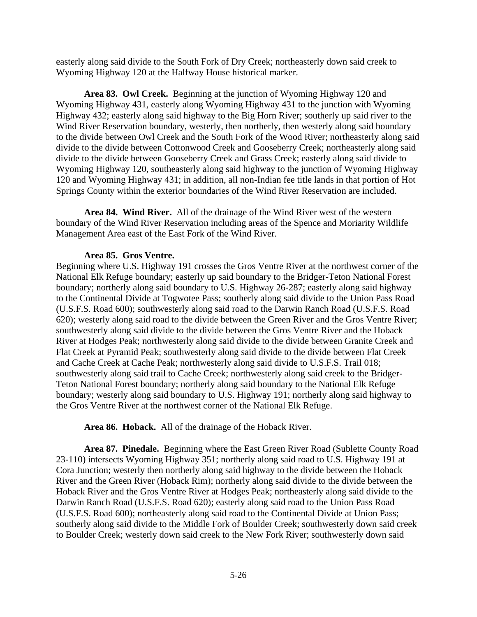easterly along said divide to the South Fork of Dry Creek; northeasterly down said creek to Wyoming Highway 120 at the Halfway House historical marker.

**Area 83. Owl Creek.** Beginning at the junction of Wyoming Highway 120 and Wyoming Highway 431, easterly along Wyoming Highway 431 to the junction with Wyoming Highway 432; easterly along said highway to the Big Horn River; southerly up said river to the Wind River Reservation boundary, westerly, then northerly, then westerly along said boundary to the divide between Owl Creek and the South Fork of the Wood River; northeasterly along said divide to the divide between Cottonwood Creek and Gooseberry Creek; northeasterly along said divide to the divide between Gooseberry Creek and Grass Creek; easterly along said divide to Wyoming Highway 120, southeasterly along said highway to the junction of Wyoming Highway 120 and Wyoming Highway 431; in addition, all non-Indian fee title lands in that portion of Hot Springs County within the exterior boundaries of the Wind River Reservation are included.

**Area 84. Wind River.** All of the drainage of the Wind River west of the western boundary of the Wind River Reservation including areas of the Spence and Moriarity Wildlife Management Area east of the East Fork of the Wind River.

#### **Area 85. Gros Ventre.**

Beginning where U.S. Highway 191 crosses the Gros Ventre River at the northwest corner of the National Elk Refuge boundary; easterly up said boundary to the Bridger-Teton National Forest boundary; northerly along said boundary to U.S. Highway 26-287; easterly along said highway to the Continental Divide at Togwotee Pass; southerly along said divide to the Union Pass Road (U.S.F.S. Road 600); southwesterly along said road to the Darwin Ranch Road (U.S.F.S. Road 620); westerly along said road to the divide between the Green River and the Gros Ventre River; southwesterly along said divide to the divide between the Gros Ventre River and the Hoback River at Hodges Peak; northwesterly along said divide to the divide between Granite Creek and Flat Creek at Pyramid Peak; southwesterly along said divide to the divide between Flat Creek and Cache Creek at Cache Peak; northwesterly along said divide to U.S.F.S. Trail 018; southwesterly along said trail to Cache Creek; northwesterly along said creek to the Bridger-Teton National Forest boundary; northerly along said boundary to the National Elk Refuge boundary; westerly along said boundary to U.S. Highway 191; northerly along said highway to the Gros Ventre River at the northwest corner of the National Elk Refuge.

**Area 86. Hoback.** All of the drainage of the Hoback River.

**Area 87. Pinedale.** Beginning where the East Green River Road (Sublette County Road 23-110) intersects Wyoming Highway 351; northerly along said road to U.S. Highway 191 at Cora Junction; westerly then northerly along said highway to the divide between the Hoback River and the Green River (Hoback Rim); northerly along said divide to the divide between the Hoback River and the Gros Ventre River at Hodges Peak; northeasterly along said divide to the Darwin Ranch Road (U.S.F.S. Road 620); easterly along said road to the Union Pass Road (U.S.F.S. Road 600); northeasterly along said road to the Continental Divide at Union Pass; southerly along said divide to the Middle Fork of Boulder Creek; southwesterly down said creek to Boulder Creek; westerly down said creek to the New Fork River; southwesterly down said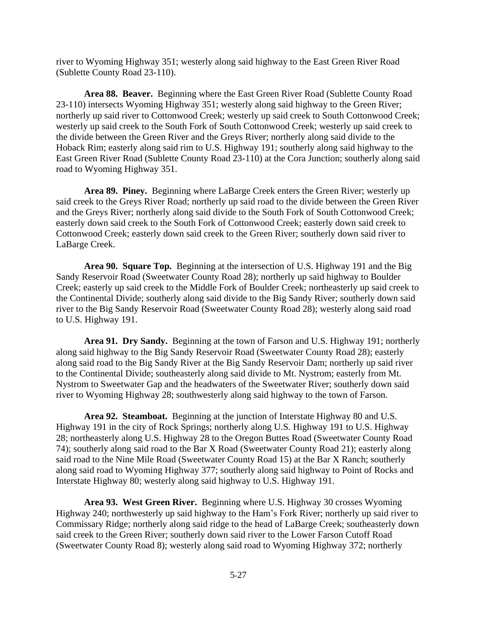river to Wyoming Highway 351; westerly along said highway to the East Green River Road (Sublette County Road 23-110).

**Area 88. Beaver.** Beginning where the East Green River Road (Sublette County Road 23-110) intersects Wyoming Highway 351; westerly along said highway to the Green River; northerly up said river to Cottonwood Creek; westerly up said creek to South Cottonwood Creek; westerly up said creek to the South Fork of South Cottonwood Creek; westerly up said creek to the divide between the Green River and the Greys River; northerly along said divide to the Hoback Rim; easterly along said rim to U.S. Highway 191; southerly along said highway to the East Green River Road (Sublette County Road 23-110) at the Cora Junction; southerly along said road to Wyoming Highway 351.

**Area 89. Piney.** Beginning where LaBarge Creek enters the Green River; westerly up said creek to the Greys River Road; northerly up said road to the divide between the Green River and the Greys River; northerly along said divide to the South Fork of South Cottonwood Creek; easterly down said creek to the South Fork of Cottonwood Creek; easterly down said creek to Cottonwood Creek; easterly down said creek to the Green River; southerly down said river to LaBarge Creek.

**Area 90. Square Top.** Beginning at the intersection of U.S. Highway 191 and the Big Sandy Reservoir Road (Sweetwater County Road 28); northerly up said highway to Boulder Creek; easterly up said creek to the Middle Fork of Boulder Creek; northeasterly up said creek to the Continental Divide; southerly along said divide to the Big Sandy River; southerly down said river to the Big Sandy Reservoir Road (Sweetwater County Road 28); westerly along said road to U.S. Highway 191.

**Area 91. Dry Sandy.** Beginning at the town of Farson and U.S. Highway 191; northerly along said highway to the Big Sandy Reservoir Road (Sweetwater County Road 28); easterly along said road to the Big Sandy River at the Big Sandy Reservoir Dam; northerly up said river to the Continental Divide; southeasterly along said divide to Mt. Nystrom; easterly from Mt. Nystrom to Sweetwater Gap and the headwaters of the Sweetwater River; southerly down said river to Wyoming Highway 28; southwesterly along said highway to the town of Farson.

**Area 92. Steamboat.** Beginning at the junction of Interstate Highway 80 and U.S. Highway 191 in the city of Rock Springs; northerly along U.S. Highway 191 to U.S. Highway 28; northeasterly along U.S. Highway 28 to the Oregon Buttes Road (Sweetwater County Road 74); southerly along said road to the Bar X Road (Sweetwater County Road 21); easterly along said road to the Nine Mile Road (Sweetwater County Road 15) at the Bar X Ranch; southerly along said road to Wyoming Highway 377; southerly along said highway to Point of Rocks and Interstate Highway 80; westerly along said highway to U.S. Highway 191.

**Area 93. West Green River.** Beginning where U.S. Highway 30 crosses Wyoming Highway 240; northwesterly up said highway to the Ham's Fork River; northerly up said river to Commissary Ridge; northerly along said ridge to the head of LaBarge Creek; southeasterly down said creek to the Green River; southerly down said river to the Lower Farson Cutoff Road (Sweetwater County Road 8); westerly along said road to Wyoming Highway 372; northerly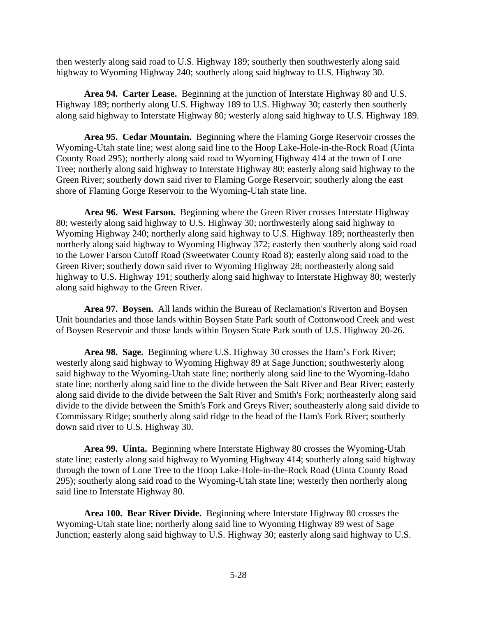then westerly along said road to U.S. Highway 189; southerly then southwesterly along said highway to Wyoming Highway 240; southerly along said highway to U.S. Highway 30.

**Area 94. Carter Lease.** Beginning at the junction of Interstate Highway 80 and U.S. Highway 189; northerly along U.S. Highway 189 to U.S. Highway 30; easterly then southerly along said highway to Interstate Highway 80; westerly along said highway to U.S. Highway 189.

**Area 95. Cedar Mountain.** Beginning where the Flaming Gorge Reservoir crosses the Wyoming-Utah state line; west along said line to the Hoop Lake-Hole-in-the-Rock Road (Uinta County Road 295); northerly along said road to Wyoming Highway 414 at the town of Lone Tree; northerly along said highway to Interstate Highway 80; easterly along said highway to the Green River; southerly down said river to Flaming Gorge Reservoir; southerly along the east shore of Flaming Gorge Reservoir to the Wyoming-Utah state line.

**Area 96. West Farson.** Beginning where the Green River crosses Interstate Highway 80; westerly along said highway to U.S. Highway 30; northwesterly along said highway to Wyoming Highway 240; northerly along said highway to U.S. Highway 189; northeasterly then northerly along said highway to Wyoming Highway 372; easterly then southerly along said road to the Lower Farson Cutoff Road (Sweetwater County Road 8); easterly along said road to the Green River; southerly down said river to Wyoming Highway 28; northeasterly along said highway to U.S. Highway 191; southerly along said highway to Interstate Highway 80; westerly along said highway to the Green River.

**Area 97. Boysen.** All lands within the Bureau of Reclamation's Riverton and Boysen Unit boundaries and those lands within Boysen State Park south of Cottonwood Creek and west of Boysen Reservoir and those lands within Boysen State Park south of U.S. Highway 20-26.

**Area 98. Sage.** Beginning where U.S. Highway 30 crosses the Ham's Fork River; westerly along said highway to Wyoming Highway 89 at Sage Junction; southwesterly along said highway to the Wyoming-Utah state line; northerly along said line to the Wyoming-Idaho state line; northerly along said line to the divide between the Salt River and Bear River; easterly along said divide to the divide between the Salt River and Smith's Fork; northeasterly along said divide to the divide between the Smith's Fork and Greys River; southeasterly along said divide to Commissary Ridge; southerly along said ridge to the head of the Ham's Fork River; southerly down said river to U.S. Highway 30.

**Area 99. Uinta.** Beginning where Interstate Highway 80 crosses the Wyoming-Utah state line; easterly along said highway to Wyoming Highway 414; southerly along said highway through the town of Lone Tree to the Hoop Lake-Hole-in-the-Rock Road (Uinta County Road 295); southerly along said road to the Wyoming-Utah state line; westerly then northerly along said line to Interstate Highway 80.

**Area 100. Bear River Divide.** Beginning where Interstate Highway 80 crosses the Wyoming-Utah state line; northerly along said line to Wyoming Highway 89 west of Sage Junction; easterly along said highway to U.S. Highway 30; easterly along said highway to U.S.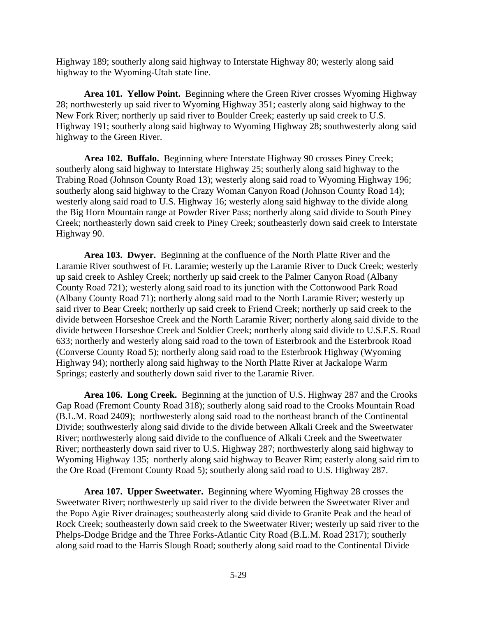Highway 189; southerly along said highway to Interstate Highway 80; westerly along said highway to the Wyoming-Utah state line.

**Area 101. Yellow Point.** Beginning where the Green River crosses Wyoming Highway 28; northwesterly up said river to Wyoming Highway 351; easterly along said highway to the New Fork River; northerly up said river to Boulder Creek; easterly up said creek to U.S. Highway 191; southerly along said highway to Wyoming Highway 28; southwesterly along said highway to the Green River.

**Area 102. Buffalo.** Beginning where Interstate Highway 90 crosses Piney Creek; southerly along said highway to Interstate Highway 25; southerly along said highway to the Trabing Road (Johnson County Road 13); westerly along said road to Wyoming Highway 196; southerly along said highway to the Crazy Woman Canyon Road (Johnson County Road 14); westerly along said road to U.S. Highway 16; westerly along said highway to the divide along the Big Horn Mountain range at Powder River Pass; northerly along said divide to South Piney Creek; northeasterly down said creek to Piney Creek; southeasterly down said creek to Interstate Highway 90.

**Area 103. Dwyer.** Beginning at the confluence of the North Platte River and the Laramie River southwest of Ft. Laramie; westerly up the Laramie River to Duck Creek; westerly up said creek to Ashley Creek; northerly up said creek to the Palmer Canyon Road (Albany County Road 721); westerly along said road to its junction with the Cottonwood Park Road (Albany County Road 71); northerly along said road to the North Laramie River; westerly up said river to Bear Creek; northerly up said creek to Friend Creek; northerly up said creek to the divide between Horseshoe Creek and the North Laramie River; northerly along said divide to the divide between Horseshoe Creek and Soldier Creek; northerly along said divide to U.S.F.S. Road 633; northerly and westerly along said road to the town of Esterbrook and the Esterbrook Road (Converse County Road 5); northerly along said road to the Esterbrook Highway (Wyoming Highway 94); northerly along said highway to the North Platte River at Jackalope Warm Springs; easterly and southerly down said river to the Laramie River.

**Area 106. Long Creek.** Beginning at the junction of U.S. Highway 287 and the Crooks Gap Road (Fremont County Road 318); southerly along said road to the Crooks Mountain Road (B.L.M. Road 2409); northwesterly along said road to the northeast branch of the Continental Divide; southwesterly along said divide to the divide between Alkali Creek and the Sweetwater River; northwesterly along said divide to the confluence of Alkali Creek and the Sweetwater River; northeasterly down said river to U.S. Highway 287; northwesterly along said highway to Wyoming Highway 135; northerly along said highway to Beaver Rim; easterly along said rim to the Ore Road (Fremont County Road 5); southerly along said road to U.S. Highway 287.

**Area 107. Upper Sweetwater.** Beginning where Wyoming Highway 28 crosses the Sweetwater River; northwesterly up said river to the divide between the Sweetwater River and the Popo Agie River drainages; southeasterly along said divide to Granite Peak and the head of Rock Creek; southeasterly down said creek to the Sweetwater River; westerly up said river to the Phelps-Dodge Bridge and the Three Forks-Atlantic City Road (B.L.M. Road 2317); southerly along said road to the Harris Slough Road; southerly along said road to the Continental Divide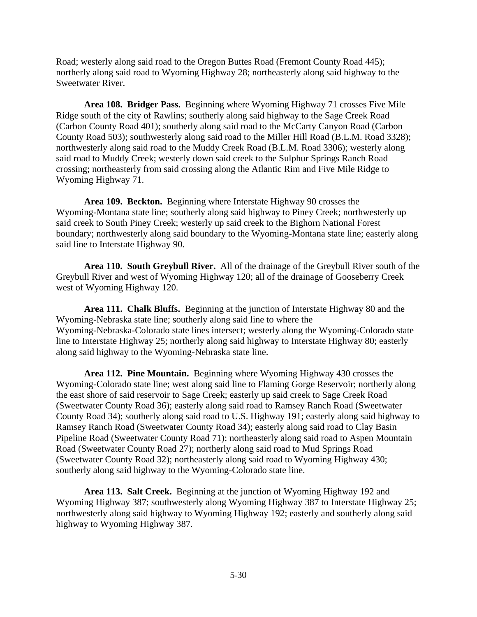Road; westerly along said road to the Oregon Buttes Road (Fremont County Road 445); northerly along said road to Wyoming Highway 28; northeasterly along said highway to the Sweetwater River.

**Area 108. Bridger Pass.** Beginning where Wyoming Highway 71 crosses Five Mile Ridge south of the city of Rawlins; southerly along said highway to the Sage Creek Road (Carbon County Road 401); southerly along said road to the McCarty Canyon Road (Carbon County Road 503); southwesterly along said road to the Miller Hill Road (B.L.M. Road 3328); northwesterly along said road to the Muddy Creek Road (B.L.M. Road 3306); westerly along said road to Muddy Creek; westerly down said creek to the Sulphur Springs Ranch Road crossing; northeasterly from said crossing along the Atlantic Rim and Five Mile Ridge to Wyoming Highway 71.

**Area 109. Beckton.** Beginning where Interstate Highway 90 crosses the Wyoming-Montana state line; southerly along said highway to Piney Creek; northwesterly up said creek to South Piney Creek; westerly up said creek to the Bighorn National Forest boundary; northwesterly along said boundary to the Wyoming-Montana state line; easterly along said line to Interstate Highway 90.

**Area 110. South Greybull River.** All of the drainage of the Greybull River south of the Greybull River and west of Wyoming Highway 120; all of the drainage of Gooseberry Creek west of Wyoming Highway 120.

**Area 111. Chalk Bluffs.** Beginning at the junction of Interstate Highway 80 and the Wyoming-Nebraska state line; southerly along said line to where the Wyoming-Nebraska-Colorado state lines intersect; westerly along the Wyoming-Colorado state line to Interstate Highway 25; northerly along said highway to Interstate Highway 80; easterly along said highway to the Wyoming-Nebraska state line.

**Area 112. Pine Mountain.** Beginning where Wyoming Highway 430 crosses the Wyoming-Colorado state line; west along said line to Flaming Gorge Reservoir; northerly along the east shore of said reservoir to Sage Creek; easterly up said creek to Sage Creek Road (Sweetwater County Road 36); easterly along said road to Ramsey Ranch Road (Sweetwater County Road 34); southerly along said road to U.S. Highway 191; easterly along said highway to Ramsey Ranch Road (Sweetwater County Road 34); easterly along said road to Clay Basin Pipeline Road (Sweetwater County Road 71); northeasterly along said road to Aspen Mountain Road (Sweetwater County Road 27); northerly along said road to Mud Springs Road (Sweetwater County Road 32); northeasterly along said road to Wyoming Highway 430; southerly along said highway to the Wyoming-Colorado state line.

**Area 113. Salt Creek.** Beginning at the junction of Wyoming Highway 192 and Wyoming Highway 387; southwesterly along Wyoming Highway 387 to Interstate Highway 25; northwesterly along said highway to Wyoming Highway 192; easterly and southerly along said highway to Wyoming Highway 387.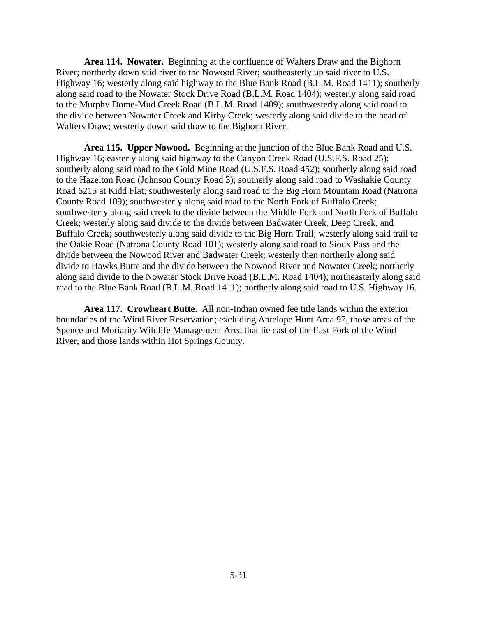**Area 114. Nowater.** Beginning at the confluence of Walters Draw and the Bighorn River; northerly down said river to the Nowood River; southeasterly up said river to U.S. Highway 16; westerly along said highway to the Blue Bank Road (B.L.M. Road 1411); southerly along said road to the Nowater Stock Drive Road (B.L.M. Road 1404); westerly along said road to the Murphy Dome-Mud Creek Road (B.L.M. Road 1409); southwesterly along said road to the divide between Nowater Creek and Kirby Creek; westerly along said divide to the head of Walters Draw; westerly down said draw to the Bighorn River.

**Area 115. Upper Nowood.** Beginning at the junction of the Blue Bank Road and U.S. Highway 16; easterly along said highway to the Canyon Creek Road (U.S.F.S. Road 25); southerly along said road to the Gold Mine Road (U.S.F.S. Road 452); southerly along said road to the Hazelton Road (Johnson County Road 3); southerly along said road to Washakie County Road 6215 at Kidd Flat; southwesterly along said road to the Big Horn Mountain Road (Natrona County Road 109); southwesterly along said road to the North Fork of Buffalo Creek; southwesterly along said creek to the divide between the Middle Fork and North Fork of Buffalo Creek; westerly along said divide to the divide between Badwater Creek, Deep Creek, and Buffalo Creek; southwesterly along said divide to the Big Horn Trail; westerly along said trail to the Oakie Road (Natrona County Road 101); westerly along said road to Sioux Pass and the divide between the Nowood River and Badwater Creek; westerly then northerly along said divide to Hawks Butte and the divide between the Nowood River and Nowater Creek; northerly along said divide to the Nowater Stock Drive Road (B.L.M. Road 1404); northeasterly along said road to the Blue Bank Road (B.L.M. Road 1411); northerly along said road to U.S. Highway 16.

**Area 117. Crowheart Butte**. All non-Indian owned fee title lands within the exterior boundaries of the Wind River Reservation; excluding Antelope Hunt Area 97, those areas of the Spence and Moriarity Wildlife Management Area that lie east of the East Fork of the Wind River, and those lands within Hot Springs County.